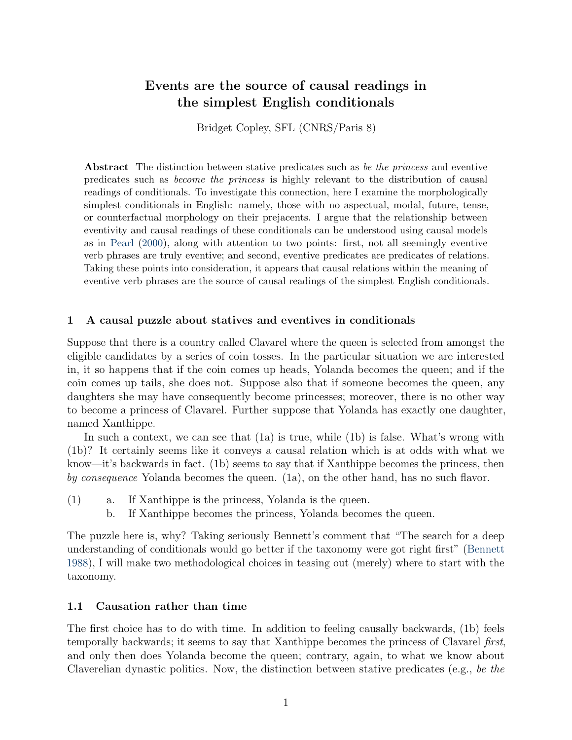# <span id="page-0-0"></span>Events are the source of causal readings in the simplest English conditionals

Bridget Copley, SFL (CNRS/Paris 8)

Abstract The distinction between stative predicates such as be the princess and eventive predicates such as become the princess is highly relevant to the distribution of causal readings of conditionals. To investigate this connection, here I examine the morphologically simplest conditionals in English: namely, those with no aspectual, modal, future, tense, or counterfactual morphology on their prejacents. I argue that the relationship between eventivity and causal readings of these conditionals can be understood using causal models as in [Pearl](#page-24-0) [\(2000\)](#page-24-0), along with attention to two points: first, not all seemingly eventive verb phrases are truly eventive; and second, eventive predicates are predicates of relations. Taking these points into consideration, it appears that causal relations within the meaning of eventive verb phrases are the source of causal readings of the simplest English conditionals.

### 1 A causal puzzle about statives and eventives in conditionals

Suppose that there is a country called Clavarel where the queen is selected from amongst the eligible candidates by a series of coin tosses. In the particular situation we are interested in, it so happens that if the coin comes up heads, Yolanda becomes the queen; and if the coin comes up tails, she does not. Suppose also that if someone becomes the queen, any daughters she may have consequently become princesses; moreover, there is no other way to become a princess of Clavarel. Further suppose that Yolanda has exactly one daughter, named Xanthippe.

In such a context, we can see that (1a) is true, while (1b) is false. What's wrong with (1b)? It certainly seems like it conveys a causal relation which is at odds with what we know—it's backwards in fact. (1b) seems to say that if Xanthippe becomes the princess, then by consequence Yolanda becomes the queen. (1a), on the other hand, has no such flavor.

- <span id="page-0-3"></span><span id="page-0-2"></span><span id="page-0-1"></span>(1) a. If Xanthippe is the princess, Yolanda is the queen.
	- b. If Xanthippe becomes the princess, Yolanda becomes the queen.

The puzzle here is, why? Taking seriously Bennett's comment that "The search for a deep understanding of conditionals would go better if the taxonomy were got right first" [\(Bennett](#page-22-0) [1988\)](#page-22-0), I will make two methodological choices in teasing out (merely) where to start with the taxonomy.

### 1.1 Causation rather than time

The first choice has to do with time. In addition to feeling causally backwards, (1b) feels temporally backwards; it seems to say that Xanthippe becomes the princess of Clavarel first, and only then does Yolanda become the queen; contrary, again, to what we know about Claverelian dynastic politics. Now, the distinction between stative predicates (e.g., be the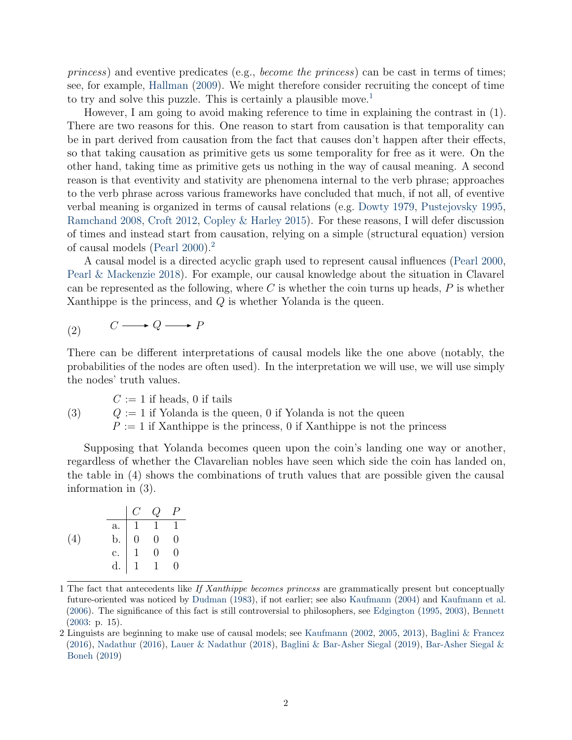princess) and eventive predicates (e.g., become the princess) can be cast in terms of times; see, for example, [Hallman](#page-23-0) [\(2009\)](#page-23-0). We might therefore consider recruiting the concept of time to try and solve this puzzle. This is certainly a plausible move.<sup>[1](#page-0-0)</sup>

However, I am going to avoid making reference to time in explaining the contrast in (1). There are two reasons for this. One reason to start from causation is that temporality can be in part derived from causation from the fact that causes don't happen after their effects, so that taking causation as primitive gets us some temporality for free as it were. On the other hand, taking time as primitive gets us nothing in the way of causal meaning. A second reason is that eventivity and stativity are phenomena internal to the verb phrase; approaches to the verb phrase across various frameworks have concluded that much, if not all, of eventive verbal meaning is organized in terms of causal relations (e.g. [Dowty](#page-23-1) [1979,](#page-23-1) [Pustejovsky](#page-24-1) [1995,](#page-24-1) [Ramchand](#page-24-2) [2008,](#page-24-2) [Croft](#page-23-2) [2012,](#page-23-2) [Copley & Harley](#page-23-3) [2015\)](#page-23-3). For these reasons, I will defer discussion of times and instead start from causation, relying on a simple (structural equation) version of causal models [\(Pearl](#page-24-0) [2000\)](#page-24-0).[2](#page-0-0)

A causal model is a directed acyclic graph used to represent causal influences [\(Pearl](#page-24-0) [2000,](#page-24-0) [Pearl & Mackenzie](#page-24-3) [2018\)](#page-24-3). For example, our causal knowledge about the situation in Clavarel can be represented as the following, where C is whether the coin turns up heads,  $P$  is whether Xanthippe is the princess, and Q is whether Yolanda is the queen.

<span id="page-1-0"></span>
$$
(2) \qquad C \longrightarrow Q \longrightarrow P
$$

There can be different interpretations of causal models like the one above (notably, the probabilities of the nodes are often used). In the interpretation we will use, we will use simply the nodes' truth values.

(3)  $C := 1$  if heads, 0 if tails  $Q := 1$  if Yolanda is the queen, 0 if Yolanda is not the queen  $P := 1$  if Xanthippe is the princess, 0 if Xanthippe is not the princess

Supposing that Yolanda becomes queen upon the coin's landing one way or another, regardless of whether the Clavarelian nobles have seen which side the coin has landed on, the table in (4) shows the combinations of truth values that are possible given the causal information in (3).

<span id="page-1-1"></span>

|     | C | $Q$ $P$                                                                                                                                 |  |
|-----|---|-----------------------------------------------------------------------------------------------------------------------------------------|--|
|     |   |                                                                                                                                         |  |
| (4) |   |                                                                                                                                         |  |
|     |   |                                                                                                                                         |  |
|     |   | $\begin{tabular}{ c c c c } \hline a. & 1 & 1 & 1 \\ \hline b. & 0 & 0 & 0 \\ c. & 1 & 0 & 0 \\ d. & 1 & 1 & 0 \\ \hline \end{tabular}$ |  |

<sup>1</sup> The fact that antecedents like If Xanthippe becomes princess are grammatically present but conceptually future-oriented was noticed by [Dudman](#page-23-4) [\(1983\)](#page-23-4), if not earlier; see also [Kaufmann](#page-24-4) [\(2004\)](#page-24-4) and [Kaufmann et al.](#page-24-5) [\(2006\)](#page-24-5). The significance of this fact is still controversial to philosophers, see [Edgington](#page-23-5) [\(1995,](#page-23-5) [2003\)](#page-23-6), [Bennett](#page-22-1) [\(2003:](#page-22-1) p. 15).

<sup>2</sup> Linguists are beginning to make use of causal models; see [Kaufmann](#page-24-6) [\(2002,](#page-24-6) [2005,](#page-24-7) [2013\)](#page-24-8), [Baglini & Francez](#page-22-2) [\(2016\)](#page-22-2), [Nadathur](#page-24-9) [\(2016\)](#page-24-9), [Lauer & Nadathur](#page-24-10) [\(2018\)](#page-24-10), [Baglini & Bar-Asher Siegal](#page-22-3) [\(2019\)](#page-22-3), [Bar-Asher Siegal &](#page-22-4) [Boneh](#page-22-4) [\(2019\)](#page-22-4)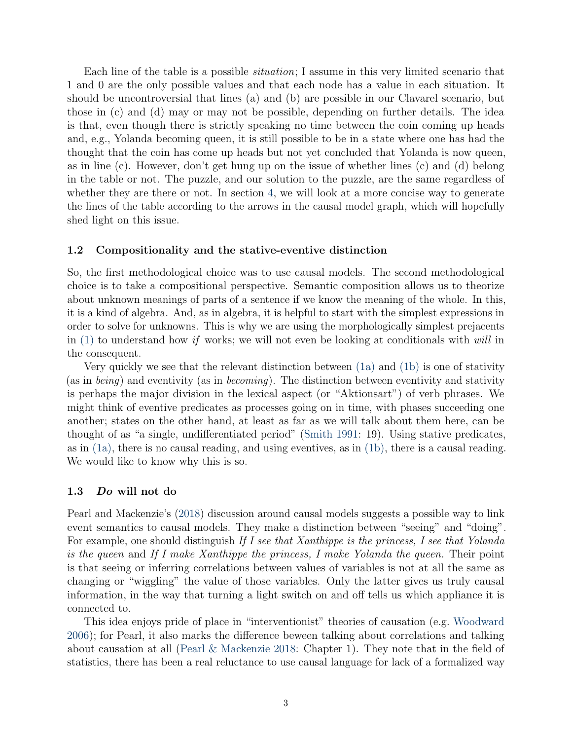Each line of the table is a possible situation; I assume in this very limited scenario that 1 and 0 are the only possible values and that each node has a value in each situation. It should be uncontroversial that lines (a) and (b) are possible in our Clavarel scenario, but those in (c) and (d) may or may not be possible, depending on further details. The idea is that, even though there is strictly speaking no time between the coin coming up heads and, e.g., Yolanda becoming queen, it is still possible to be in a state where one has had the thought that the coin has come up heads but not yet concluded that Yolanda is now queen, as in line (c). However, don't get hung up on the issue of whether lines (c) and (d) belong in the table or not. The puzzle, and our solution to the puzzle, are the same regardless of whether they are there or not. In section [4,](#page-13-0) we will look at a more concise way to generate the lines of the table according to the arrows in the causal model graph, which will hopefully shed light on this issue.

#### 1.2 Compositionality and the stative-eventive distinction

So, the first methodological choice was to use causal models. The second methodological choice is to take a compositional perspective. Semantic composition allows us to theorize about unknown meanings of parts of a sentence if we know the meaning of the whole. In this, it is a kind of algebra. And, as in algebra, it is helpful to start with the simplest expressions in order to solve for unknowns. This is why we are using the morphologically simplest prejacents in  $(1)$  to understand how if works; we will not even be looking at conditionals with will in the consequent.

Very quickly we see that the relevant distinction between [\(1a\)](#page-0-2) and [\(1b\)](#page-0-3) is one of stativity (as in *being*) and eventivity (as in *becoming*). The distinction between eventivity and stativity is perhaps the major division in the lexical aspect (or "Aktionsart") of verb phrases. We might think of eventive predicates as processes going on in time, with phases succeeding one another; states on the other hand, at least as far as we will talk about them here, can be thought of as "a single, undifferentiated period" [\(Smith](#page-25-0) [1991:](#page-25-0) 19). Using stative predicates, as in  $(1a)$ , there is no causal reading, and using eventives, as in  $(1b)$ , there is a causal reading. We would like to know why this is so.

#### 1.3 Do will not do

Pearl and Mackenzie's [\(2018\)](#page-24-3) discussion around causal models suggests a possible way to link event semantics to causal models. They make a distinction between "seeing" and "doing". For example, one should distinguish If I see that Xanthippe is the princess, I see that Yolanda is the queen and If I make Xanthippe the princess, I make Yolanda the queen. Their point is that seeing or inferring correlations between values of variables is not at all the same as changing or "wiggling" the value of those variables. Only the latter gives us truly causal information, in the way that turning a light switch on and off tells us which appliance it is connected to.

This idea enjoys pride of place in "interventionist" theories of causation (e.g. [Woodward](#page-25-1) [2006\)](#page-25-1); for Pearl, it also marks the difference beween talking about correlations and talking about causation at all [\(Pearl & Mackenzie](#page-24-3) [2018:](#page-24-3) Chapter 1). They note that in the field of statistics, there has been a real reluctance to use causal language for lack of a formalized way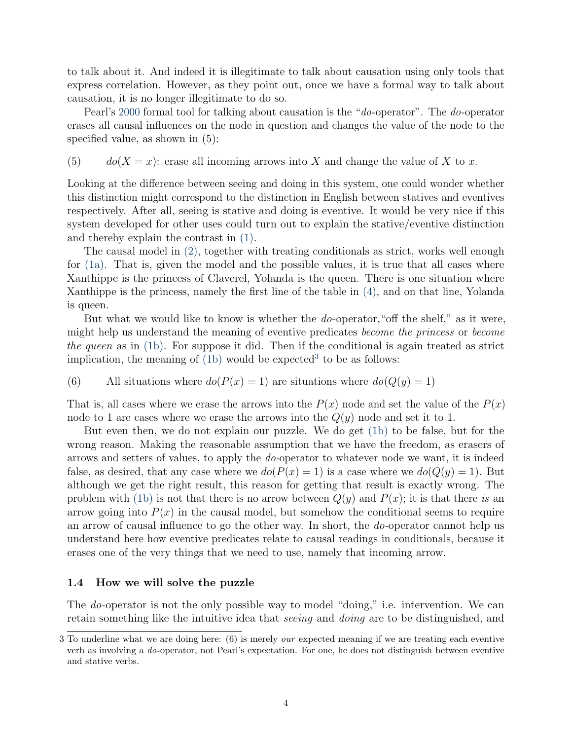to talk about it. And indeed it is illegitimate to talk about causation using only tools that express correlation. However, as they point out, once we have a formal way to talk about causation, it is no longer illegitimate to do so.

Pearl's [2000](#page-24-0) formal tool for talking about causation is the "*do*-operator". The *do*-operator erases all causal influences on the node in question and changes the value of the node to the specified value, as shown in (5):

(5)  $do(X = x)$ : erase all incoming arrows into X and change the value of X to x.

Looking at the difference between seeing and doing in this system, one could wonder whether this distinction might correspond to the distinction in English between statives and eventives respectively. After all, seeing is stative and doing is eventive. It would be very nice if this system developed for other uses could turn out to explain the stative/eventive distinction and thereby explain the contrast in [\(1\).](#page-0-1)

The causal model in [\(2\),](#page-1-0) together with treating conditionals as strict, works well enough for [\(1a\).](#page-0-2) That is, given the model and the possible values, it is true that all cases where Xanthippe is the princess of Claverel, Yolanda is the queen. There is one situation where Xanthippe is the princess, namely the first line of the table in [\(4\),](#page-1-1) and on that line, Yolanda is queen.

But what we would like to know is whether the *do*-operator, "off the shelf," as it were, might help us understand the meaning of eventive predicates become the princess or become the queen as in  $(1b)$ . For suppose it did. Then if the conditional is again treated as strict implication, the meaning of  $(1b)$  would be expected<sup>[3](#page-0-0)</sup> to be as follows:

(6) All situations where 
$$
do(P(x) = 1)
$$
 are situations where  $do(Q(y) = 1)$ 

That is, all cases where we erase the arrows into the  $P(x)$  node and set the value of the  $P(x)$ node to 1 are cases where we erase the arrows into the  $Q(y)$  node and set it to 1.

But even then, we do not explain our puzzle. We do get [\(1b\)](#page-0-3) to be false, but for the wrong reason. Making the reasonable assumption that we have the freedom, as erasers of arrows and setters of values, to apply the do-operator to whatever node we want, it is indeed false, as desired, that any case where we  $d\sigma(P(x) = 1)$  is a case where we  $d\sigma(Q(y) = 1)$ . But although we get the right result, this reason for getting that result is exactly wrong. The problem with [\(1b\)](#page-0-3) is not that there is no arrow between  $Q(y)$  and  $P(x)$ ; it is that there is an arrow going into  $P(x)$  in the causal model, but somehow the conditional seems to require an arrow of causal influence to go the other way. In short, the do-operator cannot help us understand here how eventive predicates relate to causal readings in conditionals, because it erases one of the very things that we need to use, namely that incoming arrow.

### 1.4 How we will solve the puzzle

The *do*-operator is not the only possible way to model "doing," i.e. intervention. We can retain something like the intuitive idea that *seeing* and *doing* are to be distinguished, and

<sup>3</sup> To underline what we are doing here: (6) is merely *our* expected meaning if we are treating each eventive verb as involving a do-operator, not Pearl's expectation. For one, he does not distinguish between eventive and stative verbs.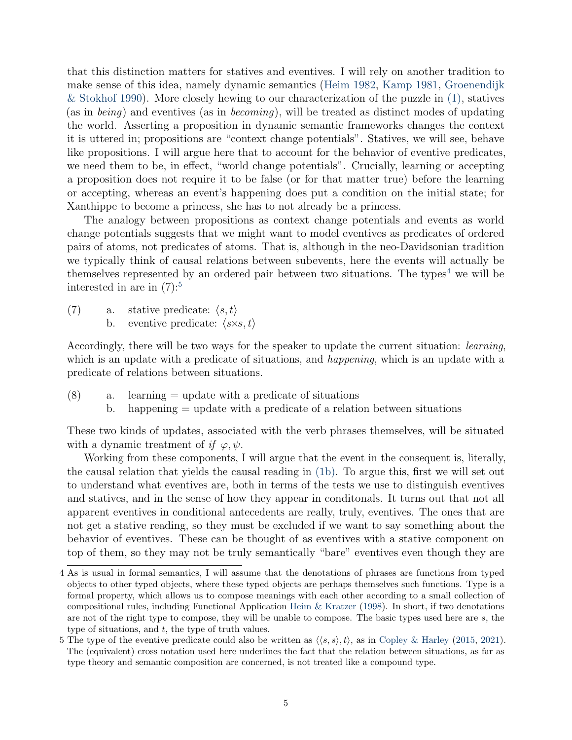that this distinction matters for statives and eventives. I will rely on another tradition to make sense of this idea, namely dynamic semantics [\(Heim](#page-23-7) [1982,](#page-23-7) [Kamp](#page-24-11) [1981,](#page-24-11) [Groenendijk](#page-23-8) [& Stokhof](#page-23-8) [1990\)](#page-23-8). More closely hewing to our characterization of the puzzle in [\(1\),](#page-0-1) statives (as in being) and eventives (as in becoming), will be treated as distinct modes of updating the world. Asserting a proposition in dynamic semantic frameworks changes the context it is uttered in; propositions are "context change potentials". Statives, we will see, behave like propositions. I will argue here that to account for the behavior of eventive predicates, we need them to be, in effect, "world change potentials". Crucially, learning or accepting a proposition does not require it to be false (or for that matter true) before the learning or accepting, whereas an event's happening does put a condition on the initial state; for Xanthippe to become a princess, she has to not already be a princess.

The analogy between propositions as context change potentials and events as world change potentials suggests that we might want to model eventives as predicates of ordered pairs of atoms, not predicates of atoms. That is, although in the neo-Davidsonian tradition we typically think of causal relations between subevents, here the events will actually be themselves represented by an ordered pair between two situations. The types<sup>[4](#page-0-0)</sup> we will be interested in are in  $(7)$ :<sup>[5](#page-0-0)</sup>

<span id="page-4-0"></span>(7) a. stative predicate:  $\langle s, t \rangle$ b. eventive predicate:  $\langle s \times s, t \rangle$ 

Accordingly, there will be two ways for the speaker to update the current situation: learning, which is an update with a predicate of situations, and *happening*, which is an update with a predicate of relations between situations.

- $(8)$  a. learning = update with a predicate of situations
	- b. happening = update with a predicate of a relation between situations

These two kinds of updates, associated with the verb phrases themselves, will be situated with a dynamic treatment of if  $\varphi, \psi$ .

Working from these components, I will argue that the event in the consequent is, literally, the causal relation that yields the causal reading in [\(1b\).](#page-0-3) To argue this, first we will set out to understand what eventives are, both in terms of the tests we use to distinguish eventives and statives, and in the sense of how they appear in conditonals. It turns out that not all apparent eventives in conditional antecedents are really, truly, eventives. The ones that are not get a stative reading, so they must be excluded if we want to say something about the behavior of eventives. These can be thought of as eventives with a stative component on top of them, so they may not be truly semantically "bare" eventives even though they are

<sup>4</sup> As is usual in formal semantics, I will assume that the denotations of phrases are functions from typed objects to other typed objects, where these typed objects are perhaps themselves such functions. Type is a formal property, which allows us to compose meanings with each other according to a small collection of compositional rules, including Functional Application [Heim & Kratzer](#page-23-9) [\(1998\)](#page-23-9). In short, if two denotations are not of the right type to compose, they will be unable to compose. The basic types used here are s, the type of situations, and  $t$ , the type of truth values.

<sup>5</sup> The type of the eventive predicate could also be written as  $\langle \langle s, s \rangle, t \rangle$ , as in [Copley & Harley](#page-23-3) [\(2015,](#page-23-3) [2021\)](#page-23-10). The (equivalent) cross notation used here underlines the fact that the relation between situations, as far as type theory and semantic composition are concerned, is not treated like a compound type.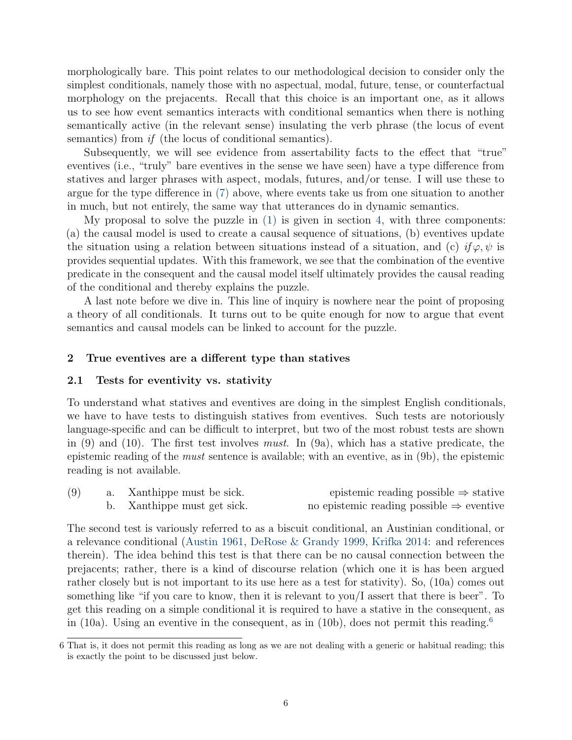morphologically bare. This point relates to our methodological decision to consider only the simplest conditionals, namely those with no aspectual, modal, future, tense, or counterfactual morphology on the prejacents. Recall that this choice is an important one, as it allows us to see how event semantics interacts with conditional semantics when there is nothing semantically active (in the relevant sense) insulating the verb phrase (the locus of event semantics) from *if* (the locus of conditional semantics).

Subsequently, we will see evidence from assertability facts to the effect that "true" eventives (i.e., "truly" bare eventives in the sense we have seen) have a type difference from statives and larger phrases with aspect, modals, futures, and/or tense. I will use these to argue for the type difference in [\(7\)](#page-4-0) above, where events take us from one situation to another in much, but not entirely, the same way that utterances do in dynamic semantics.

My proposal to solve the puzzle in  $(1)$  is given in section [4,](#page-13-0) with three components: (a) the causal model is used to create a causal sequence of situations, (b) eventives update the situation using a relation between situations instead of a situation, and (c) if  $\varphi, \psi$  is provides sequential updates. With this framework, we see that the combination of the eventive predicate in the consequent and the causal model itself ultimately provides the causal reading of the conditional and thereby explains the puzzle.

A last note before we dive in. This line of inquiry is nowhere near the point of proposing a theory of all conditionals. It turns out to be quite enough for now to argue that event semantics and causal models can be linked to account for the puzzle.

### 2 True eventives are a different type than statives

### 2.1 Tests for eventivity vs. stativity

To understand what statives and eventives are doing in the simplest English conditionals, we have to have tests to distinguish statives from eventives. Such tests are notoriously language-specific and can be difficult to interpret, but two of the most robust tests are shown in  $(9)$  and  $(10)$ . The first test involves *must*. In  $(9a)$ , which has a stative predicate, the epistemic reading of the must sentence is available; with an eventive, as in (9b), the epistemic reading is not available.

| (9) | a. Xanthippe must be sick.  | epistemic reading possible $\Rightarrow$ stative     |
|-----|-----------------------------|------------------------------------------------------|
|     | b. Xanthippe must get sick. | no epistemic reading possible $\Rightarrow$ eventive |

The second test is variously referred to as a biscuit conditional, an Austinian conditional, or a relevance conditional [\(Austin](#page-22-5) [1961,](#page-22-5) [DeRose & Grandy](#page-23-11) [1999,](#page-23-11) [Krifka](#page-24-12) [2014:](#page-24-12) and references therein). The idea behind this test is that there can be no causal connection between the prejacents; rather, there is a kind of discourse relation (which one it is has been argued rather closely but is not important to its use here as a test for stativity). So, (10a) comes out something like "if you care to know, then it is relevant to you/I assert that there is beer". To get this reading on a simple conditional it is required to have a stative in the consequent, as in (10a). Using an eventive in the consequent, as in (10b), does not permit this reading.<sup>[6](#page-0-0)</sup>

<sup>6</sup> That is, it does not permit this reading as long as we are not dealing with a generic or habitual reading; this is exactly the point to be discussed just below.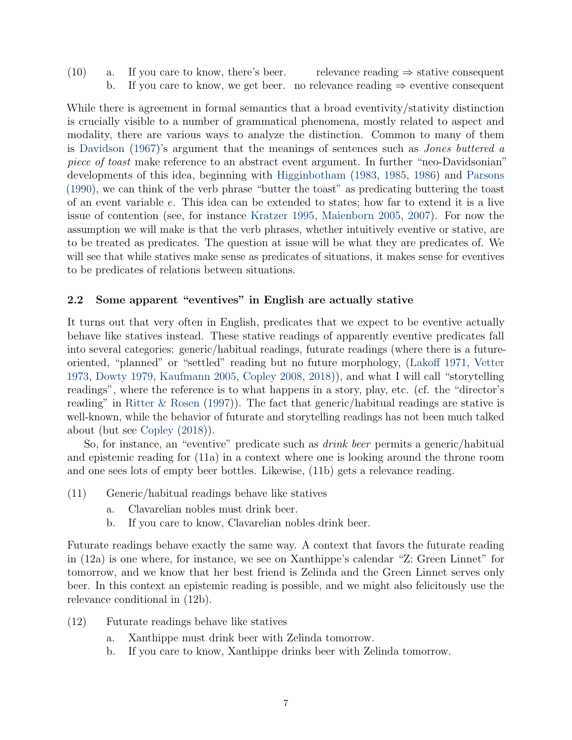(10) a. If you care to know, there's beer. relevance reading  $\Rightarrow$  stative consequent b. If you care to know, we get beer. no relevance reading  $\Rightarrow$  eventive consequent

While there is agreement in formal semantics that a broad eventivity/stativity distinction is crucially visible to a number of grammatical phenomena, mostly related to aspect and modality, there are various ways to analyze the distinction. Common to many of them is [Davidson](#page-23-12) [\(1967\)](#page-23-12)'s argument that the meanings of sentences such as Jones buttered a piece of toast make reference to an abstract event argument. In further "neo-Davidsonian" developments of this idea, beginning with [Higginbotham](#page-23-13) [\(1983,](#page-23-13) [1985,](#page-23-14) [1986\)](#page-23-15) and [Parsons](#page-24-13) [\(1990\)](#page-24-13), we can think of the verb phrase "butter the toast" as predicating buttering the toast of an event variable e. This idea can be extended to states; how far to extend it is a live issue of contention (see, for instance [Kratzer](#page-24-14) [1995,](#page-24-14) [Maienborn](#page-24-15) [2005,](#page-24-15) [2007\)](#page-24-16). For now the assumption we will make is that the verb phrases, whether intuitively eventive or stative, are to be treated as predicates. The question at issue will be what they are predicates of. We will see that while statives make sense as predicates of situations, it makes sense for eventives to be predicates of relations between situations.

# 2.2 Some apparent "eventives" in English are actually stative

It turns out that very often in English, predicates that we expect to be eventive actually behave like statives instead. These stative readings of apparently eventive predicates fall into several categories: generic/habitual readings, futurate readings (where there is a futureoriented, "planned" or "settled" reading but no future morphology, [\(Lakoff](#page-24-17) [1971,](#page-24-17) [Vetter](#page-25-2) [1973,](#page-25-2) [Dowty](#page-23-1) [1979,](#page-23-1) [Kaufmann](#page-24-7) [2005,](#page-24-7) [Copley](#page-23-16) [2008,](#page-23-16) [2018\)](#page-23-17)), and what I will call "storytelling readings", where the reference is to what happens in a story, play, etc. (cf. the "director's reading" in [Ritter & Rosen](#page-25-3) [\(1997\)](#page-25-3)). The fact that generic/habitual readings are stative is well-known, while the behavior of futurate and storytelling readings has not been much talked about (but see [Copley](#page-23-17) [\(2018\)](#page-23-17)).

So, for instance, an "eventive" predicate such as *drink beer* permits a generic/habitual and epistemic reading for (11a) in a context where one is looking around the throne room and one sees lots of empty beer bottles. Likewise, (11b) gets a relevance reading.

- (11) Generic/habitual readings behave like statives
	- a. Clavarelian nobles must drink beer.
	- b. If you care to know, Clavarelian nobles drink beer.

Futurate readings behave exactly the same way. A context that favors the futurate reading in (12a) is one where, for instance, we see on Xanthippe's calendar "Z: Green Linnet" for tomorrow, and we know that her best friend is Zelinda and the Green Linnet serves only beer. In this context an epistemic reading is possible, and we might also felicitously use the relevance conditional in (12b).

- (12) Futurate readings behave like statives
	- a. Xanthippe must drink beer with Zelinda tomorrow.
	- b. If you care to know, Xanthippe drinks beer with Zelinda tomorrow.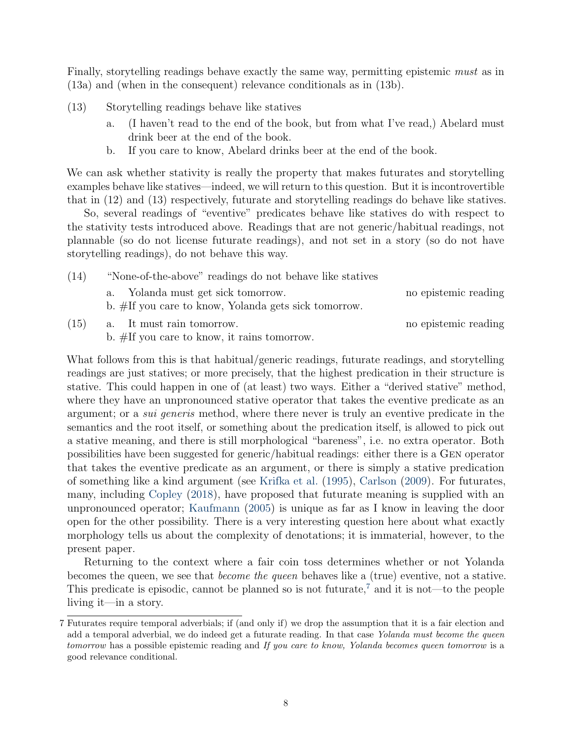Finally, storytelling readings behave exactly the same way, permitting epistemic must as in (13a) and (when in the consequent) relevance conditionals as in (13b).

- (13) Storytelling readings behave like statives
	- a. (I haven't read to the end of the book, but from what I've read,) Abelard must drink beer at the end of the book.
	- b. If you care to know, Abelard drinks beer at the end of the book.

We can ask whether stativity is really the property that makes futurates and storytelling examples behave like statives—indeed, we will return to this question. But it is incontrovertible that in (12) and (13) respectively, futurate and storytelling readings do behave like statives.

So, several readings of "eventive" predicates behave like statives do with respect to the stativity tests introduced above. Readings that are not generic/habitual readings, not plannable (so do not license futurate readings), and not set in a story (so do not have storytelling readings), do not behave this way.

(14) "None-of-the-above" readings do not behave like statives a. Yolanda must get sick tomorrow. no epistemic reading b. #If you care to know, Yolanda gets sick tomorrow.

(15) a. It must rain tomorrow. no epistemic reading

b. #If you care to know, it rains tomorrow.

What follows from this is that habitual/generic readings, futurate readings, and storytelling readings are just statives; or more precisely, that the highest predication in their structure is stative. This could happen in one of (at least) two ways. Either a "derived stative" method, where they have an unpronounced stative operator that takes the eventive predicate as an argument; or a sui generis method, where there never is truly an eventive predicate in the semantics and the root itself, or something about the predication itself, is allowed to pick out a stative meaning, and there is still morphological "bareness", i.e. no extra operator. Both possibilities have been suggested for generic/habitual readings: either there is a Gen operator that takes the eventive predicate as an argument, or there is simply a stative predication of something like a kind argument (see [Krifka et al.](#page-24-18) [\(1995\)](#page-24-18), [Carlson](#page-22-6) [\(2009\)](#page-22-6). For futurates, many, including [Copley](#page-23-17) [\(2018\)](#page-23-17), have proposed that futurate meaning is supplied with an unpronounced operator; [Kaufmann](#page-24-7) [\(2005\)](#page-24-7) is unique as far as I know in leaving the door open for the other possibility. There is a very interesting question here about what exactly morphology tells us about the complexity of denotations; it is immaterial, however, to the present paper.

Returning to the context where a fair coin toss determines whether or not Yolanda becomes the queen, we see that become the queen behaves like a (true) eventive, not a stative. This predicate is episodic, cannot be planned so is not futurate,<sup>[7](#page-0-0)</sup> and it is not—to the people living it—in a story.

<sup>7</sup> Futurates require temporal adverbials; if (and only if) we drop the assumption that it is a fair election and add a temporal adverbial, we do indeed get a futurate reading. In that case Yolanda must become the queen tomorrow has a possible epistemic reading and If you care to know, Yolanda becomes queen tomorrow is a good relevance conditional.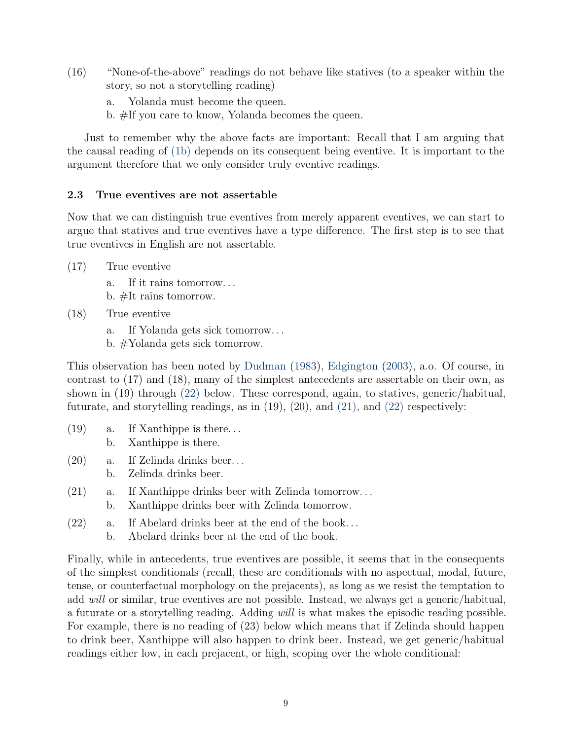- (16) "None-of-the-above" readings do not behave like statives (to a speaker within the story, so not a storytelling reading)
	- a. Yolanda must become the queen.
	- b. #If you care to know, Yolanda becomes the queen.

Just to remember why the above facts are important: Recall that I am arguing that the causal reading of [\(1b\)](#page-0-3) depends on its consequent being eventive. It is important to the argument therefore that we only consider truly eventive readings.

# 2.3 True eventives are not assertable

Now that we can distinguish true eventives from merely apparent eventives, we can start to argue that statives and true eventives have a type difference. The first step is to see that true eventives in English are not assertable.

- (17) True eventive
	- a. If it rains tomorrow. . .
	- b. #It rains tomorrow.
- (18) True eventive
	- a. If Yolanda gets sick tomorrow. . .
	- b. #Yolanda gets sick tomorrow.

This observation has been noted by [Dudman](#page-23-4) [\(1983\)](#page-23-4), [Edgington](#page-23-6) [\(2003\)](#page-23-6), a.o. Of course, in contrast to (17) and (18), many of the simplest antecedents are assertable on their own, as shown in (19) through [\(22\)](#page-8-0) below. These correspond, again, to statives, generic/habitual, futurate, and storytelling readings, as in  $(19)$ ,  $(20)$ , and  $(21)$ , and  $(22)$  respectively:

- (19) a. If Xanthippe is there. . . b. Xanthippe is there.
- (20) a. If Zelinda drinks beer. . . b. Zelinda drinks beer.
- <span id="page-8-1"></span>(21) a. If Xanthippe drinks beer with Zelinda tomorrow. . . b. Xanthippe drinks beer with Zelinda tomorrow.
- <span id="page-8-0"></span>(22) a. If Abelard drinks beer at the end of the book. . .
	- b. Abelard drinks beer at the end of the book.

Finally, while in antecedents, true eventives are possible, it seems that in the consequents of the simplest conditionals (recall, these are conditionals with no aspectual, modal, future, tense, or counterfactual morphology on the prejacents), as long as we resist the temptation to add will or similar, true eventives are not possible. Instead, we always get a generic/habitual, a futurate or a storytelling reading. Adding will is what makes the episodic reading possible. For example, there is no reading of (23) below which means that if Zelinda should happen to drink beer, Xanthippe will also happen to drink beer. Instead, we get generic/habitual readings either low, in each prejacent, or high, scoping over the whole conditional: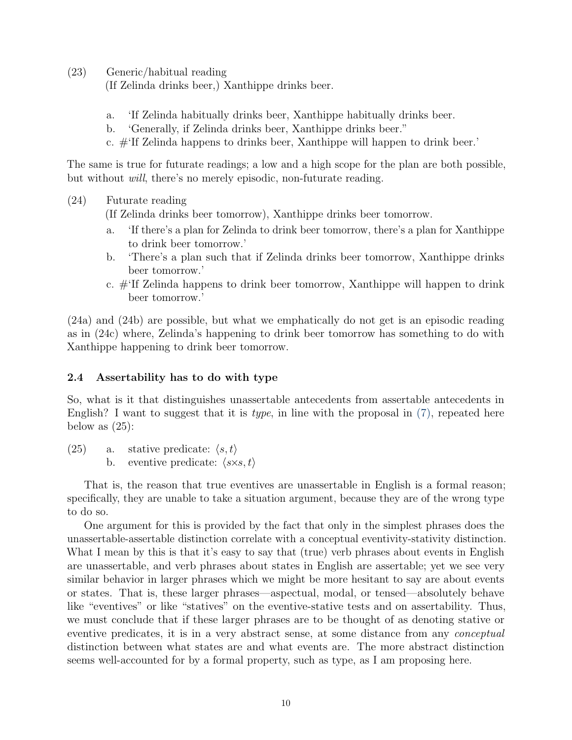(23) Generic/habitual reading

(If Zelinda drinks beer,) Xanthippe drinks beer.

- a. 'If Zelinda habitually drinks beer, Xanthippe habitually drinks beer.
- b. 'Generally, if Zelinda drinks beer, Xanthippe drinks beer."
- c. #'If Zelinda happens to drinks beer, Xanthippe will happen to drink beer.'

The same is true for futurate readings; a low and a high scope for the plan are both possible, but without will, there's no merely episodic, non-futurate reading.

(24) Futurate reading

(If Zelinda drinks beer tomorrow), Xanthippe drinks beer tomorrow.

- a. 'If there's a plan for Zelinda to drink beer tomorrow, there's a plan for Xanthippe to drink beer tomorrow.'
- b. 'There's a plan such that if Zelinda drinks beer tomorrow, Xanthippe drinks beer tomorrow.'
- c. #'If Zelinda happens to drink beer tomorrow, Xanthippe will happen to drink beer tomorrow.'

(24a) and (24b) are possible, but what we emphatically do not get is an episodic reading as in (24c) where, Zelinda's happening to drink beer tomorrow has something to do with Xanthippe happening to drink beer tomorrow.

# 2.4 Assertability has to do with type

So, what is it that distinguishes unassertable antecedents from assertable antecedents in English? I want to suggest that it is *type*, in line with the proposal in  $(7)$ , repeated here below as  $(25)$ :

(25) a. stative predicate:  $\langle s, t \rangle$ b. eventive predicate:  $\langle s \times s, t \rangle$ 

That is, the reason that true eventives are unassertable in English is a formal reason; specifically, they are unable to take a situation argument, because they are of the wrong type to do so.

One argument for this is provided by the fact that only in the simplest phrases does the unassertable-assertable distinction correlate with a conceptual eventivity-stativity distinction. What I mean by this is that it's easy to say that (true) verb phrases about events in English are unassertable, and verb phrases about states in English are assertable; yet we see very similar behavior in larger phrases which we might be more hesitant to say are about events or states. That is, these larger phrases—aspectual, modal, or tensed—absolutely behave like "eventives" or like "statives" on the eventive-stative tests and on assertability. Thus, we must conclude that if these larger phrases are to be thought of as denoting stative or eventive predicates, it is in a very abstract sense, at some distance from any conceptual distinction between what states are and what events are. The more abstract distinction seems well-accounted for by a formal property, such as type, as I am proposing here.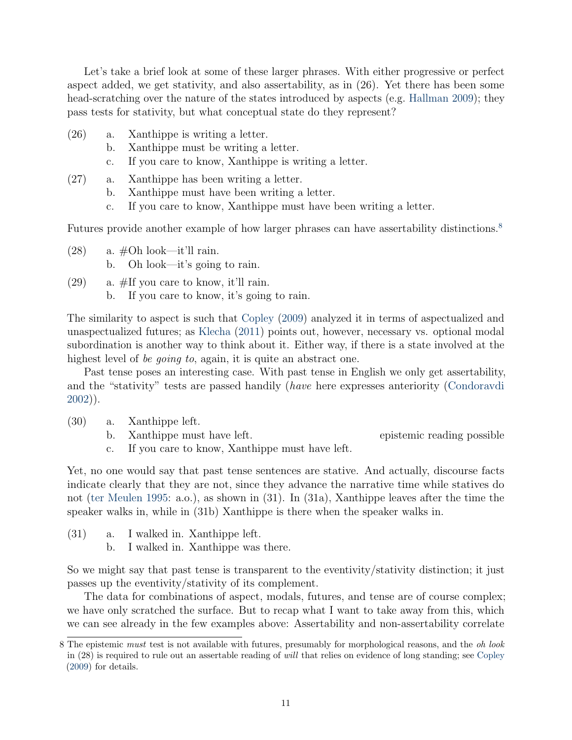Let's take a brief look at some of these larger phrases. With either progressive or perfect aspect added, we get stativity, and also assertability, as in (26). Yet there has been some head-scratching over the nature of the states introduced by aspects (e.g. [Hallman](#page-23-0) [2009\)](#page-23-0); they pass tests for stativity, but what conceptual state do they represent?

- (26) a. Xanthippe is writing a letter.
	- b. Xanthippe must be writing a letter.
	- c. If you care to know, Xanthippe is writing a letter.
- (27) a. Xanthippe has been writing a letter.
	- b. Xanthippe must have been writing a letter.
	- c. If you care to know, Xanthippe must have been writing a letter.

Futures provide another example of how larger phrases can have assertability distinctions.<sup>[8](#page-0-0)</sup>

- $(28)$  a.  $\#Oh$  look—it'll rain. b. Oh look—it's going to rain.
- (29) a. #If you care to know, it'll rain. b. If you care to know, it's going to rain.

The similarity to aspect is such that [Copley](#page-23-18) [\(2009\)](#page-23-18) analyzed it in terms of aspectualized and unaspectualized futures; as [Klecha](#page-24-19) [\(2011\)](#page-24-19) points out, however, necessary vs. optional modal subordination is another way to think about it. Either way, if there is a state involved at the highest level of *be going to*, again, it is quite an abstract one.

Past tense poses an interesting case. With past tense in English we only get assertability, and the "stativity" tests are passed handily (have here expresses anteriority [\(Condoravdi](#page-22-7) [2002\)](#page-22-7)).

- (30) a. Xanthippe left.
	- b. Xanthippe must have left. epistemic reading possible

c. If you care to know, Xanthippe must have left.

Yet, no one would say that past tense sentences are stative. And actually, discourse facts indicate clearly that they are not, since they advance the narrative time while statives do not [\(ter Meulen](#page-24-20) [1995:](#page-24-20) a.o.), as shown in (31). In (31a), Xanthippe leaves after the time the speaker walks in, while in (31b) Xanthippe is there when the speaker walks in.

- (31) a. I walked in. Xanthippe left.
	- b. I walked in. Xanthippe was there.

So we might say that past tense is transparent to the eventivity/stativity distinction; it just passes up the eventivity/stativity of its complement.

The data for combinations of aspect, modals, futures, and tense are of course complex; we have only scratched the surface. But to recap what I want to take away from this, which we can see already in the few examples above: Assertability and non-assertability correlate

<sup>8</sup> The epistemic must test is not available with futures, presumably for morphological reasons, and the oh look in (28) is required to rule out an assertable reading of will that relies on evidence of long standing; see [Copley](#page-23-18) [\(2009\)](#page-23-18) for details.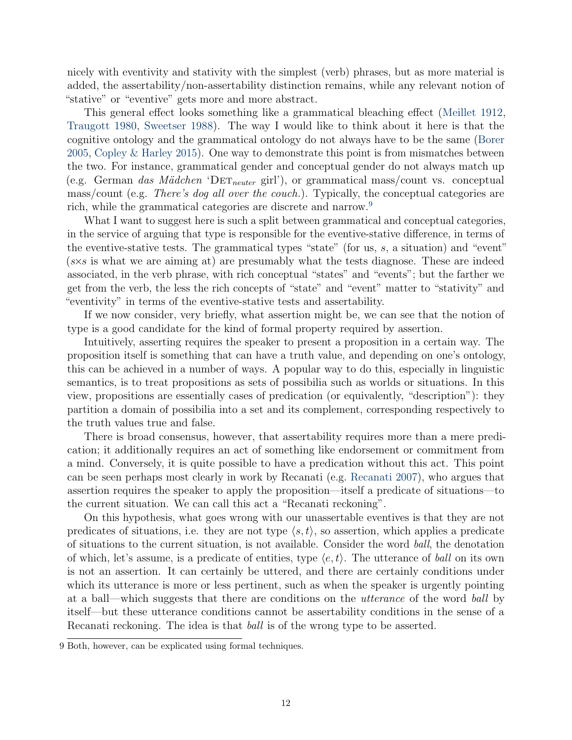nicely with eventivity and stativity with the simplest (verb) phrases, but as more material is added, the assertability/non-assertability distinction remains, while any relevant notion of "stative" or "eventive" gets more and more abstract.

This general effect looks something like a grammatical bleaching effect [\(Meillet](#page-24-21) [1912,](#page-24-21) [Traugott](#page-25-4) [1980,](#page-25-4) [Sweetser](#page-25-5) [1988\)](#page-25-5). The way I would like to think about it here is that the cognitive ontology and the grammatical ontology do not always have to be the same [\(Borer](#page-22-8) [2005,](#page-22-8) [Copley & Harley](#page-23-3) [2015\)](#page-23-3). One way to demonstrate this point is from mismatches between the two. For instance, grammatical gender and conceptual gender do not always match up (e.g. German das Mädchen 'D $ET_{neuter}$  girl'), or grammatical mass/count vs. conceptual mass/count (e.g. There's dog all over the couch.). Typically, the conceptual categories are rich, while the grammatical categories are discrete and narrow.<sup>[9](#page-0-0)</sup>

What I want to suggest here is such a split between grammatical and conceptual categories, in the service of arguing that type is responsible for the eventive-stative difference, in terms of the eventive-stative tests. The grammatical types "state" (for us,  $s$ , a situation) and "event" (s×s is what we are aiming at) are presumably what the tests diagnose. These are indeed associated, in the verb phrase, with rich conceptual "states" and "events"; but the farther we get from the verb, the less the rich concepts of "state" and "event" matter to "stativity" and "eventivity" in terms of the eventive-stative tests and assertability.

If we now consider, very briefly, what assertion might be, we can see that the notion of type is a good candidate for the kind of formal property required by assertion.

Intuitively, asserting requires the speaker to present a proposition in a certain way. The proposition itself is something that can have a truth value, and depending on one's ontology, this can be achieved in a number of ways. A popular way to do this, especially in linguistic semantics, is to treat propositions as sets of possibilia such as worlds or situations. In this view, propositions are essentially cases of predication (or equivalently, "description"): they partition a domain of possibilia into a set and its complement, corresponding respectively to the truth values true and false.

There is broad consensus, however, that assertability requires more than a mere predication; it additionally requires an act of something like endorsement or commitment from a mind. Conversely, it is quite possible to have a predication without this act. This point can be seen perhaps most clearly in work by Recanati (e.g. [Recanati](#page-25-6) [2007\)](#page-25-6), who argues that assertion requires the speaker to apply the proposition—itself a predicate of situations—to the current situation. We can call this act a "Recanati reckoning".

On this hypothesis, what goes wrong with our unassertable eventives is that they are not predicates of situations, i.e. they are not type  $\langle s, t \rangle$ , so assertion, which applies a predicate of situations to the current situation, is not available. Consider the word ball, the denotation of which, let's assume, is a predicate of entities, type  $\langle e, t \rangle$ . The utterance of ball on its own is not an assertion. It can certainly be uttered, and there are certainly conditions under which its utterance is more or less pertinent, such as when the speaker is urgently pointing at a ball—which suggests that there are conditions on the utterance of the word ball by itself—but these utterance conditions cannot be assertability conditions in the sense of a Recanati reckoning. The idea is that *ball* is of the wrong type to be asserted.

<sup>9</sup> Both, however, can be explicated using formal techniques.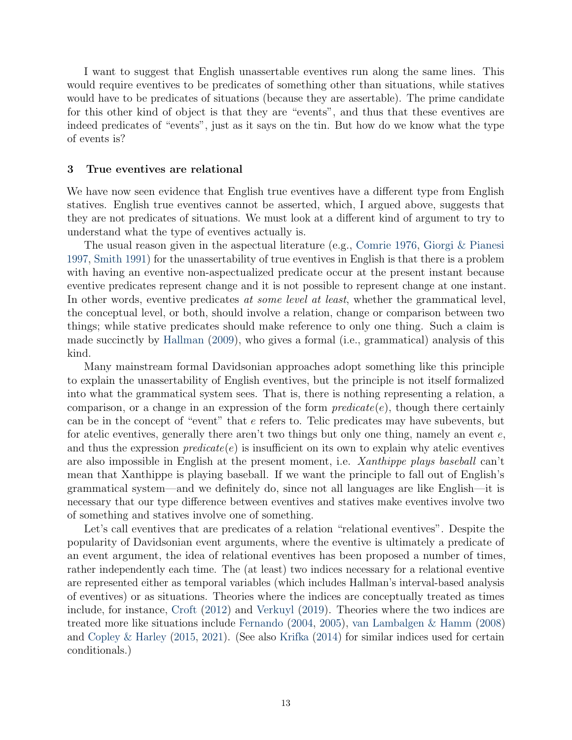I want to suggest that English unassertable eventives run along the same lines. This would require eventives to be predicates of something other than situations, while statives would have to be predicates of situations (because they are assertable). The prime candidate for this other kind of object is that they are "events", and thus that these eventives are indeed predicates of "events", just as it says on the tin. But how do we know what the type of events is?

#### 3 True eventives are relational

We have now seen evidence that English true eventives have a different type from English statives. English true eventives cannot be asserted, which, I argued above, suggests that they are not predicates of situations. We must look at a different kind of argument to try to understand what the type of eventives actually is.

The usual reason given in the aspectual literature (e.g., [Comrie](#page-22-9) [1976,](#page-22-9) [Giorgi & Pianesi](#page-23-19) [1997,](#page-23-19) [Smith](#page-25-0) [1991\)](#page-25-0) for the unassertability of true eventives in English is that there is a problem with having an eventive non-aspectualized predicate occur at the present instant because eventive predicates represent change and it is not possible to represent change at one instant. In other words, eventive predicates at some level at least, whether the grammatical level, the conceptual level, or both, should involve a relation, change or comparison between two things; while stative predicates should make reference to only one thing. Such a claim is made succinctly by [Hallman](#page-23-0) [\(2009\)](#page-23-0), who gives a formal (i.e., grammatical) analysis of this kind.

Many mainstream formal Davidsonian approaches adopt something like this principle to explain the unassertability of English eventives, but the principle is not itself formalized into what the grammatical system sees. That is, there is nothing representing a relation, a comparison, or a change in an expression of the form  $predicate(e)$ , though there certainly can be in the concept of "event" that e refers to. Telic predicates may have subevents, but for atelic eventives, generally there aren't two things but only one thing, namely an event  $e$ , and thus the expression  $predicate(e)$  is insufficient on its own to explain why atelic eventives are also impossible in English at the present moment, i.e. Xanthippe plays baseball can't mean that Xanthippe is playing baseball. If we want the principle to fall out of English's grammatical system—and we definitely do, since not all languages are like English—it is necessary that our type difference between eventives and statives make eventives involve two of something and statives involve one of something.

Let's call eventives that are predicates of a relation "relational eventives". Despite the popularity of Davidsonian event arguments, where the eventive is ultimately a predicate of an event argument, the idea of relational eventives has been proposed a number of times, rather independently each time. The (at least) two indices necessary for a relational eventive are represented either as temporal variables (which includes Hallman's interval-based analysis of eventives) or as situations. Theories where the indices are conceptually treated as times include, for instance, [Croft](#page-23-2) [\(2012\)](#page-23-2) and [Verkuyl](#page-25-7) [\(2019\)](#page-25-7). Theories where the two indices are treated more like situations include [Fernando](#page-23-20) [\(2004,](#page-23-20) [2005\)](#page-23-21), [van Lambalgen & Hamm](#page-24-22) [\(2008\)](#page-24-22) and [Copley & Harley](#page-23-3) [\(2015,](#page-23-3) [2021\)](#page-23-10). (See also [Krifka](#page-24-12) [\(2014\)](#page-24-12) for similar indices used for certain conditionals.)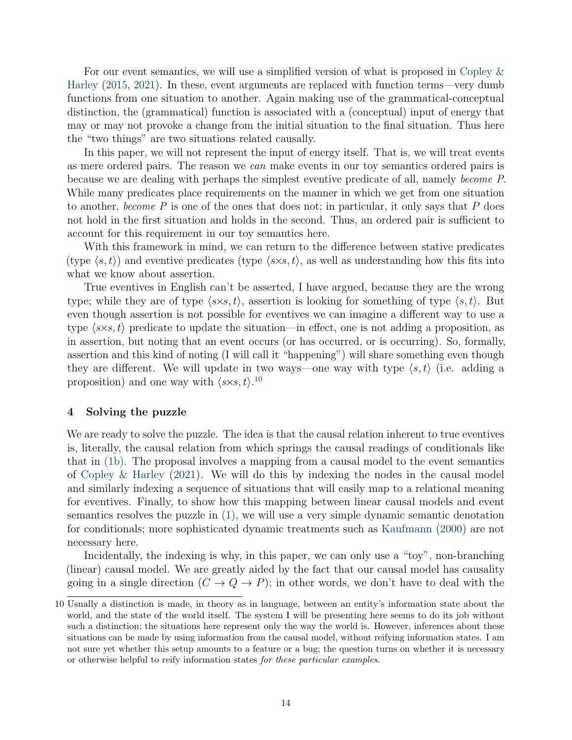For our event semantics, we will use a simplified version of what is proposed in [Copley &](#page-23-3) [Harley](#page-23-3) [\(2015,](#page-23-3) [2021\)](#page-23-10). In these, event arguments are replaced with function terms—very dumb functions from one situation to another. Again making use of the grammatical-conceptual distinction, the (grammatical) function is associated with a (conceptual) input of energy that may or may not provoke a change from the initial situation to the final situation. Thus here the "two things" are two situations related causally.

In this paper, we will not represent the input of energy itself. That is, we will treat events as mere ordered pairs. The reason we can make events in our toy semantics ordered pairs is because we are dealing with perhaps the simplest eventive predicate of all, namely become P. While many predicates place requirements on the manner in which we get from one situation to another, become  $P$  is one of the ones that does not; in particular, it only says that  $P$  does not hold in the first situation and holds in the second. Thus, an ordered pair is sufficient to account for this requirement in our toy semantics here.

With this framework in mind, we can return to the difference between stative predicates (type  $\langle s, t \rangle$ ) and eventive predicates (type  $\langle s \times s, t \rangle$ , as well as understanding how this fits into what we know about assertion.

True eventives in English can't be asserted, I have argued, because they are the wrong type; while they are of type  $\langle s \times s, t \rangle$ , assertion is looking for something of type  $\langle s, t \rangle$ . But even though assertion is not possible for eventives we can imagine a different way to use a type  $\langle s \times s, t \rangle$  predicate to update the situation—in effect, one is not adding a proposition, as in assertion, but noting that an event occurs (or has occurred, or is occurring). So, formally, assertion and this kind of noting (I will call it "happening") will share something even though they are different. We will update in two ways—one way with type  $\langle s, t \rangle$  (i.e. adding a proposition) and one way with  $\langle s \times s, t \rangle$ .<sup>[10](#page-0-0)</sup>

### <span id="page-13-0"></span>4 Solving the puzzle

We are ready to solve the puzzle. The idea is that the causal relation inherent to true eventives is, literally, the causal relation from which springs the causal readings of conditionals like that in [\(1b\).](#page-0-3) The proposal involves a mapping from a causal model to the event semantics of [Copley & Harley](#page-23-10) [\(2021\)](#page-23-10). We will do this by indexing the nodes in the causal model and similarly indexing a sequence of situations that will easily map to a relational meaning for eventives. Finally, to show how this mapping between linear causal models and event semantics resolves the puzzle in [\(1\),](#page-0-1) we will use a very simple dynamic semantic denotation for conditionals; more sophisticated dynamic treatments such as [Kaufmann](#page-24-23) [\(2000\)](#page-24-23) are not necessary here.

Incidentally, the indexing is why, in this paper, we can only use a "toy", non-branching (linear) causal model. We are greatly aided by the fact that our causal model has causality going in a single direction  $(C \to Q \to P)$ ; in other words, we don't have to deal with the

<sup>10</sup> Usually a distinction is made, in theory as in language, between an entity's information state about the world, and the state of the world itself. The system I will be presenting here seems to do its job without such a distinction; the situations here represent only the way the world is. However, inferences about these situations can be made by using information from the causal model, without reifying information states. I am not sure yet whether this setup amounts to a feature or a bug; the question turns on whether it is necessary or otherwise helpful to reify information states for these particular examples.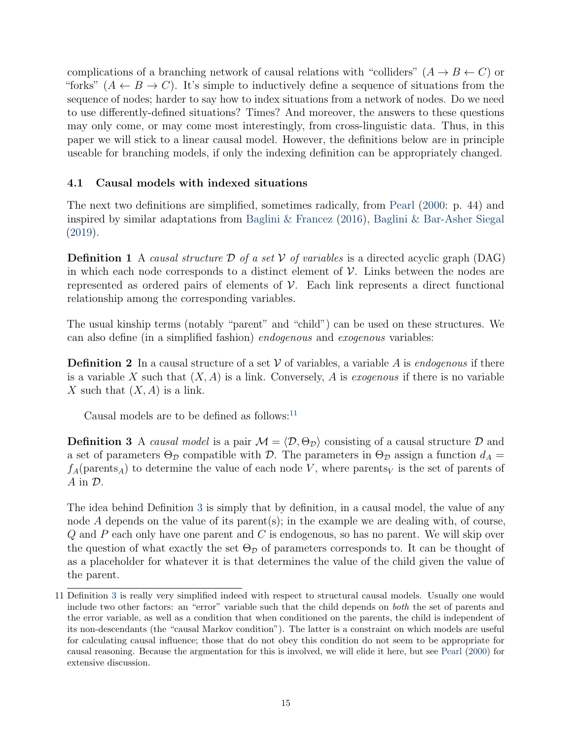complications of a branching network of causal relations with "colliders"  $(A \rightarrow B \leftarrow C)$  or "forks"  $(A \leftarrow B \rightarrow C)$ . It's simple to inductively define a sequence of situations from the sequence of nodes; harder to say how to index situations from a network of nodes. Do we need to use differently-defined situations? Times? And moreover, the answers to these questions may only come, or may come most interestingly, from cross-linguistic data. Thus, in this paper we will stick to a linear causal model. However, the definitions below are in principle useable for branching models, if only the indexing definition can be appropriately changed.

# 4.1 Causal models with indexed situations

The next two definitions are simplified, sometimes radically, from [Pearl](#page-24-0) [\(2000:](#page-24-0) p. 44) and inspired by similar adaptations from [Baglini & Francez](#page-22-2) [\(2016\)](#page-22-2), [Baglini & Bar-Asher Siegal](#page-22-3) [\(2019\)](#page-22-3).

**Definition 1** A causal structure D of a set V of variables is a directed acyclic graph (DAG) in which each node corresponds to a distinct element of  $V$ . Links between the nodes are represented as ordered pairs of elements of  $\mathcal V$ . Each link represents a direct functional relationship among the corresponding variables.

The usual kinship terms (notably "parent" and "child") can be used on these structures. We can also define (in a simplified fashion) endogenous and exogenous variables:

**Definition 2** In a causal structure of a set V of variables, a variable A is endogenous if there is a variable X such that  $(X, A)$  is a link. Conversely, A is *exogenous* if there is no variable X such that  $(X, A)$  is a link.

Causal models are to be defined as follows:<sup>[11](#page-0-0)</sup>

<span id="page-14-0"></span>**Definition 3** A causal model is a pair  $M = \langle \mathcal{D}, \Theta_{\mathcal{D}} \rangle$  consisting of a causal structure D and a set of parameters  $\Theta_{\mathcal{D}}$  compatible with  $\mathcal{D}$ . The parameters in  $\Theta_{\mathcal{D}}$  assign a function  $d_A =$  $f_A$ (parents<sub>A</sub>) to determine the value of each node V, where parents<sub>V</sub> is the set of parents of  $A$  in  $D$ .

The idea behind Definition [3](#page-14-0) is simply that by definition, in a causal model, the value of any node A depends on the value of its parent(s); in the example we are dealing with, of course,  $Q$  and  $P$  each only have one parent and  $C$  is endogenous, so has no parent. We will skip over the question of what exactly the set  $\Theta_{\mathcal{D}}$  of parameters corresponds to. It can be thought of as a placeholder for whatever it is that determines the value of the child given the value of the parent.

<sup>11</sup> Definition [3](#page-14-0) is really very simplified indeed with respect to structural causal models. Usually one would include two other factors: an "error" variable such that the child depends on both the set of parents and the error variable, as well as a condition that when conditioned on the parents, the child is independent of its non-descendants (the "causal Markov condition"). The latter is a constraint on which models are useful for calculating causal influence; those that do not obey this condition do not seem to be appropriate for causal reasoning. Because the argmentation for this is involved, we will elide it here, but see [Pearl](#page-24-0) [\(2000\)](#page-24-0) for extensive discussion.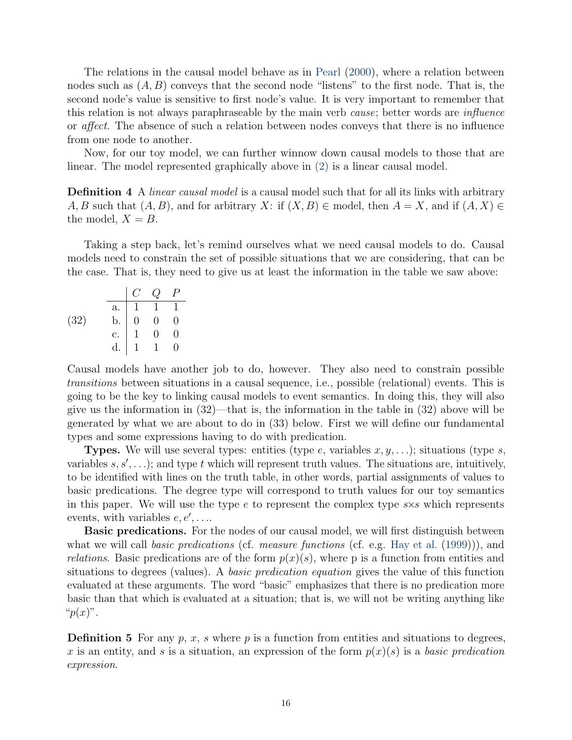The relations in the causal model behave as in [Pearl](#page-24-0) [\(2000\)](#page-24-0), where a relation between nodes such as  $(A, B)$  conveys that the second node "listens" to the first node. That is, the second node's value is sensitive to first node's value. It is very important to remember that this relation is not always paraphraseable by the main verb *cause*; better words are *influence* or affect. The absence of such a relation between nodes conveys that there is no influence from one node to another.

Now, for our toy model, we can further winnow down causal models to those that are linear. The model represented graphically above in [\(2\)](#page-1-0) is a linear causal model.

**Definition 4** A *linear causal model* is a causal model such that for all its links with arbitrary A, B such that  $(A, B)$ , and for arbitrary X: if  $(X, B) \in \text{model}$ , then  $A = X$ , and if  $(A, X) \in$ the model,  $X = B$ .

Taking a step back, let's remind ourselves what we need causal models to do. Causal models need to constrain the set of possible situations that we are considering, that can be the case. That is, they need to give us at least the information in the table we saw above:

|      | $a$ .                   |                | $1 \quad 1$    |   |
|------|-------------------------|----------------|----------------|---|
| (32) | $\mathbf{b}$ .          | $\overline{0}$ | $\overline{0}$ | 0 |
|      | $\overline{c}$ .        |                |                |   |
|      | $\overline{\mathrm{d}}$ |                |                |   |

Causal models have another job to do, however. They also need to constrain possible transitions between situations in a causal sequence, i.e., possible (relational) events. This is going to be the key to linking causal models to event semantics. In doing this, they will also give us the information in  $(32)$ —that is, the information in the table in  $(32)$  above will be generated by what we are about to do in (33) below. First we will define our fundamental types and some expressions having to do with predication.

**Types.** We will use several types: entities (type e, variables  $x, y, \ldots$ ); situations (type s, variables  $s, s', \ldots$ ); and type t which will represent truth values. The situations are, intuitively, to be identified with lines on the truth table, in other words, partial assignments of values to basic predications. The degree type will correspond to truth values for our toy semantics in this paper. We will use the type  $e$  to represent the complex type  $s \times s$  which represents events, with variables  $e, e', \ldots$ 

**Basic predications.** For the nodes of our causal model, we will first distinguish between what we will call *basic predications* (cf. *measure functions* (cf. e.g. [Hay et al.](#page-23-22) [\(1999\)](#page-23-22))), and *relations.* Basic predications are of the form  $p(x)(s)$ , where p is a function from entities and situations to degrees (values). A basic predication equation gives the value of this function evaluated at these arguments. The word "basic" emphasizes that there is no predication more basic than that which is evaluated at a situation; that is, we will not be writing anything like " $p(x)$ ".

**Definition 5** For any p, x, s where p is a function from entities and situations to degrees, x is an entity, and s is a situation, an expression of the form  $p(x)(s)$  is a basic predication expression.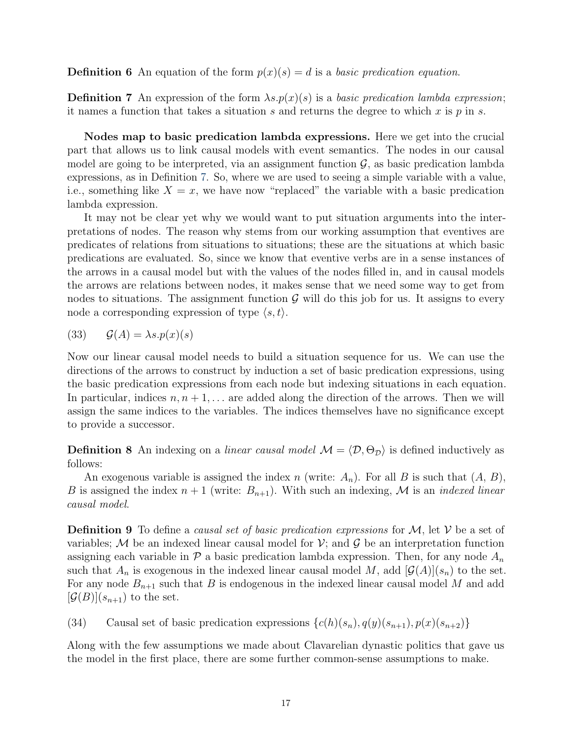**Definition 6** An equation of the form  $p(x)(s) = d$  is a basic predication equation.

<span id="page-16-0"></span>**Definition 7** An expression of the form  $\lambda s.p(x)(s)$  is a basic predication lambda expression; it names a function that takes a situation s and returns the degree to which x is  $p$  in s.

Nodes map to basic predication lambda expressions. Here we get into the crucial part that allows us to link causal models with event semantics. The nodes in our causal model are going to be interpreted, via an assignment function  $\mathcal{G}$ , as basic predication lambda expressions, as in Definition [7.](#page-16-0) So, where we are used to seeing a simple variable with a value, i.e., something like  $X = x$ , we have now "replaced" the variable with a basic predication lambda expression.

It may not be clear yet why we would want to put situation arguments into the interpretations of nodes. The reason why stems from our working assumption that eventives are predicates of relations from situations to situations; these are the situations at which basic predications are evaluated. So, since we know that eventive verbs are in a sense instances of the arrows in a causal model but with the values of the nodes filled in, and in causal models the arrows are relations between nodes, it makes sense that we need some way to get from nodes to situations. The assignment function  $\mathcal G$  will do this job for us. It assigns to every node a corresponding expression of type  $\langle s, t \rangle$ .

$$
(33) \qquad \mathcal{G}(A) = \lambda s.p(x)(s)
$$

Now our linear causal model needs to build a situation sequence for us. We can use the directions of the arrows to construct by induction a set of basic predication expressions, using the basic predication expressions from each node but indexing situations in each equation. In particular, indices  $n, n+1, \ldots$  are added along the direction of the arrows. Then we will assign the same indices to the variables. The indices themselves have no significance except to provide a successor.

**Definition 8** An indexing on a linear causal model  $M = \langle \mathcal{D}, \Theta_{\mathcal{D}} \rangle$  is defined inductively as follows:

An exogenous variable is assigned the index n (write:  $A_n$ ). For all B is such that  $(A, B)$ , B is assigned the index  $n+1$  (write:  $B_{n+1}$ ). With such an indexing, M is an *indexed linear* causal model.

**Definition 9** To define a *causal set of basic predication expressions* for  $M$ , let  $V$  be a set of variables; M be an indexed linear causal model for  $\mathcal{V}$ ; and  $\mathcal{G}$  be an interpretation function assigning each variable in  $\mathcal P$  a basic predication lambda expression. Then, for any node  $A_n$ such that  $A_n$  is exogenous in the indexed linear causal model M, add  $[\mathcal{G}(A)](s_n)$  to the set. For any node  $B_{n+1}$  such that B is endogenous in the indexed linear causal model M and add  $[\mathcal{G}(B)](s_{n+1})$  to the set.

<span id="page-16-1"></span>(34) Causal set of basic predication expressions  $\{c(h)(s_n), q(y)(s_{n+1}), p(x)(s_{n+2})\}$ 

Along with the few assumptions we made about Clavarelian dynastic politics that gave us the model in the first place, there are some further common-sense assumptions to make.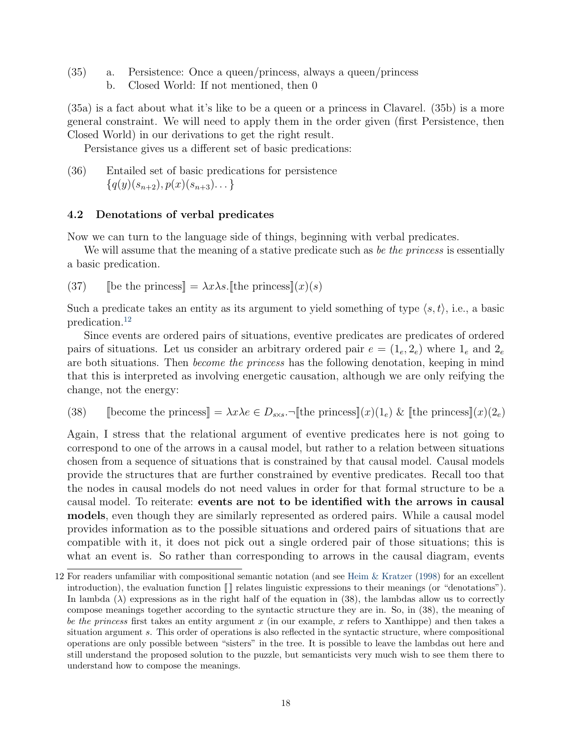- (35) a. Persistence: Once a queen/princess, always a queen/princess
	- b. Closed World: If not mentioned, then 0

(35a) is a fact about what it's like to be a queen or a princess in Clavarel. (35b) is a more general constraint. We will need to apply them in the order given (first Persistence, then Closed World) in our derivations to get the right result.

Persistance gives us a different set of basic predications:

(36) Entailed set of basic predications for persistence  $\{q(y)(s_{n+2}), p(x)(s_{n+3})\dots\}$ 

# 4.2 Denotations of verbal predicates

Now we can turn to the language side of things, beginning with verbal predicates.

We will assume that the meaning of a stative predicate such as be the princess is essentially a basic predication.

(37) [be the princess]  $= \lambda x \lambda s$ . [the princess] $(x)(s)$ 

Such a predicate takes an entity as its argument to yield something of type  $\langle s, t \rangle$ , i.e., a basic predication.[12](#page-0-0)

Since events are ordered pairs of situations, eventive predicates are predicates of ordered pairs of situations. Let us consider an arbitrary ordered pair  $e = (1_e, 2_e)$  where  $1_e$  and  $2_e$ are both situations. Then become the princess has the following denotation, keeping in mind that this is interpreted as involving energetic causation, although we are only reifying the change, not the energy:

<span id="page-17-0"></span>(38) [[become the princess] =  $\lambda x \lambda e \in D_{ss}$ .  $\nexists$ [[the princess]](x)(1<sub>e</sub>) & [[the princess]](x)(2<sub>e</sub>)

Again, I stress that the relational argument of eventive predicates here is not going to correspond to one of the arrows in a causal model, but rather to a relation between situations chosen from a sequence of situations that is constrained by that causal model. Causal models provide the structures that are further constrained by eventive predicates. Recall too that the nodes in causal models do not need values in order for that formal structure to be a causal model. To reiterate: events are not to be identified with the arrows in causal models, even though they are similarly represented as ordered pairs. While a causal model provides information as to the possible situations and ordered pairs of situations that are compatible with it, it does not pick out a single ordered pair of those situations; this is what an event is. So rather than corresponding to arrows in the causal diagram, events

<sup>12</sup> For readers unfamiliar with compositional semantic notation (and see [Heim & Kratzer](#page-23-9) [\(1998\)](#page-23-9) for an excellent introduction), the evaluation function  $\llbracket \cdot \rrbracket$  relates linguistic expressions to their meanings (or "denotations"). In lambda  $(\lambda)$  expressions as in the right half of the equation in (38), the lambdas allow us to correctly compose meanings together according to the syntactic structure they are in. So, in (38), the meaning of be the princess first takes an entity argument  $x$  (in our example,  $x$  refers to Xanthippe) and then takes a situation argument s. This order of operations is also reflected in the syntactic structure, where compositional operations are only possible between "sisters" in the tree. It is possible to leave the lambdas out here and still understand the proposed solution to the puzzle, but semanticists very much wish to see them there to understand how to compose the meanings.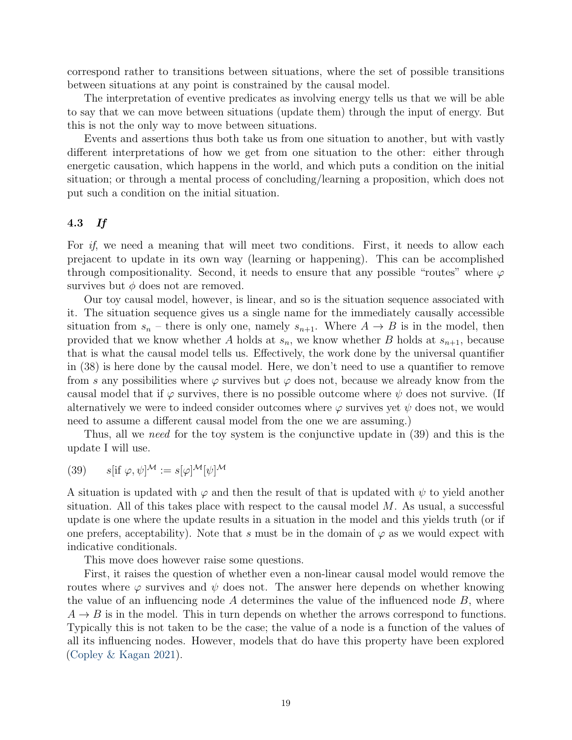correspond rather to transitions between situations, where the set of possible transitions between situations at any point is constrained by the causal model.

The interpretation of eventive predicates as involving energy tells us that we will be able to say that we can move between situations (update them) through the input of energy. But this is not the only way to move between situations.

Events and assertions thus both take us from one situation to another, but with vastly different interpretations of how we get from one situation to the other: either through energetic causation, which happens in the world, and which puts a condition on the initial situation; or through a mental process of concluding/learning a proposition, which does not put such a condition on the initial situation.

### 4.3 If

For *if*, we need a meaning that will meet two conditions. First, it needs to allow each prejacent to update in its own way (learning or happening). This can be accomplished through compositionality. Second, it needs to ensure that any possible "routes" where  $\varphi$ survives but  $\phi$  does not are removed.

Our toy causal model, however, is linear, and so is the situation sequence associated with it. The situation sequence gives us a single name for the immediately causally accessible situation from  $s_n$  – there is only one, namely  $s_{n+1}$ . Where  $A \rightarrow B$  is in the model, then provided that we know whether A holds at  $s_n$ , we know whether B holds at  $s_{n+1}$ , because that is what the causal model tells us. Effectively, the work done by the universal quantifier in (38) is here done by the causal model. Here, we don't need to use a quantifier to remove from s any possibilities where  $\varphi$  survives but  $\varphi$  does not, because we already know from the causal model that if  $\varphi$  survives, there is no possible outcome where  $\psi$  does not survive. (If alternatively we were to indeed consider outcomes where  $\varphi$  survives yet  $\psi$  does not, we would need to assume a different causal model from the one we are assuming.)

Thus, all we *need* for the toy system is the conjunctive update in (39) and this is the update I will use.

(39) 
$$
s[\text{if } \varphi, \psi]^\mathcal{M} := s[\varphi]^\mathcal{M}[\psi]^\mathcal{M}
$$

A situation is updated with  $\varphi$  and then the result of that is updated with  $\psi$  to yield another situation. All of this takes place with respect to the causal model  $M$ . As usual, a successful update is one where the update results in a situation in the model and this yields truth (or if one prefers, acceptability). Note that s must be in the domain of  $\varphi$  as we would expect with indicative conditionals.

This move does however raise some questions.

First, it raises the question of whether even a non-linear causal model would remove the routes where  $\varphi$  survives and  $\psi$  does not. The answer here depends on whether knowing the value of an influencing node  $A$  determines the value of the influenced node  $B$ , where  $A \rightarrow B$  is in the model. This in turn depends on whether the arrows correspond to functions. Typically this is not taken to be the case; the value of a node is a function of the values of all its influencing nodes. However, models that do have this property have been explored [\(Copley & Kagan](#page-23-23) [2021\)](#page-23-23).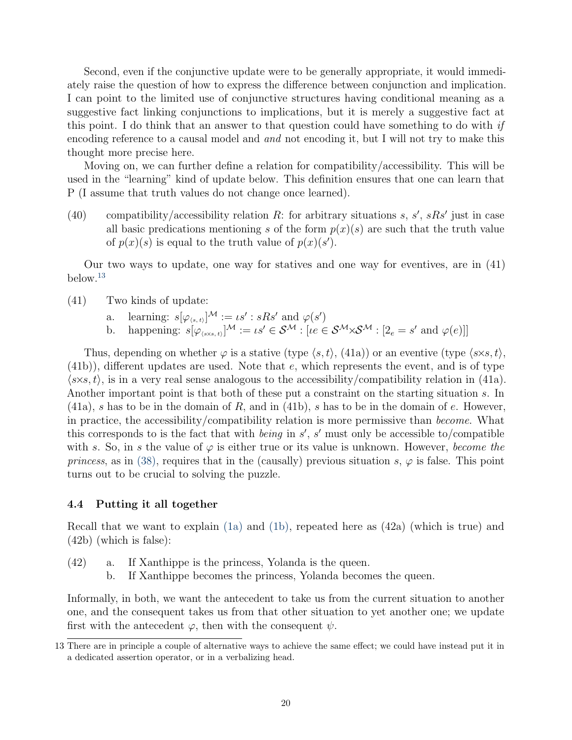Second, even if the conjunctive update were to be generally appropriate, it would immediately raise the question of how to express the difference between conjunction and implication. I can point to the limited use of conjunctive structures having conditional meaning as a suggestive fact linking conjunctions to implications, but it is merely a suggestive fact at this point. I do think that an answer to that question could have something to do with if encoding reference to a causal model and and not encoding it, but I will not try to make this thought more precise here.

Moving on, we can further define a relation for compatibility/accessibility. This will be used in the "learning" kind of update below. This definition ensures that one can learn that P (I assume that truth values do not change once learned).

(40) compatibility/accessibility relation R: for arbitrary situations s, s', sRs' just in case all basic predications mentioning s of the form  $p(x)(s)$  are such that the truth value of  $p(x)(s)$  is equal to the truth value of  $p(x)(s')$ .

Our two ways to update, one way for statives and one way for eventives, are in (41) below.[13](#page-0-0)

- (41) Two kinds of update:
	- a. learning:  $s[\varphi_{\langle s,t \rangle}]^{\mathcal{M}} := \iota s' : sRs'$  and  $\varphi(s')$
	- b. happening:  $s[\varphi_{\langle s \times s, t \rangle}]^{\mathcal{M}} := \iota s' \in \mathcal{S}^{\mathcal{M}} : [\iota e \in \mathcal{S}^{\mathcal{M}} \times \mathcal{S}^{\mathcal{M}} : [2_e = s' \text{ and } \varphi(e)]]$

Thus, depending on whether  $\varphi$  is a stative (type  $\langle s, t \rangle$ , (41a)) or an eventive (type  $\langle s \times s, t \rangle$ , (41b)), different updates are used. Note that e, which represents the event, and is of type  $\langle s \times s, t \rangle$ , is in a very real sense analogous to the accessibility/compatibility relation in (41a). Another important point is that both of these put a constraint on the starting situation s. In  $(41a)$ , s has to be in the domain of R, and in (41b), s has to be in the domain of e. However, in practice, the accessibility/compatibility relation is more permissive than become. What this corresponds to is the fact that with *being* in  $s'$ ,  $s'$  must only be accessible to/compatible with s. So, in s the value of  $\varphi$  is either true or its value is unknown. However, become the princess, as in [\(38\),](#page-17-0) requires that in the (causally) previous situation s,  $\varphi$  is false. This point turns out to be crucial to solving the puzzle.

### 4.4 Putting it all together

Recall that we want to explain [\(1a\)](#page-0-2) and [\(1b\),](#page-0-3) repeated here as (42a) (which is true) and (42b) (which is false):

- (42) a. If Xanthippe is the princess, Yolanda is the queen.
	- b. If Xanthippe becomes the princess, Yolanda becomes the queen.

Informally, in both, we want the antecedent to take us from the current situation to another one, and the consequent takes us from that other situation to yet another one; we update first with the antecedent  $\varphi$ , then with the consequent  $\psi$ .

<sup>13</sup> There are in principle a couple of alternative ways to achieve the same effect; we could have instead put it in a dedicated assertion operator, or in a verbalizing head.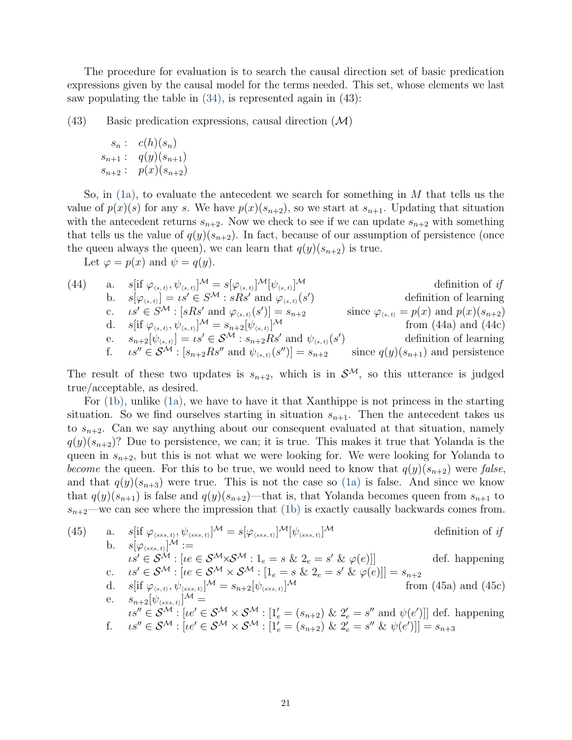The procedure for evaluation is to search the causal direction set of basic predication expressions given by the causal model for the terms needed. This set, whose elements we last saw populating the table in [\(34\),](#page-16-1) is represented again in (43):

 $(43)$  Basic predication expressions, causal direction  $(M)$ 

$$
s_n : c(h)(s_n)
$$
  
\n
$$
s_{n+1} : q(y)(s_{n+1})
$$
  
\n
$$
s_{n+2} : p(x)(s_{n+2})
$$

So, in  $(1a)$ , to evaluate the antecedent we search for something in M that tells us the value of  $p(x)(s)$  for any s. We have  $p(x)(s_{n+2})$ , so we start at  $s_{n+1}$ . Updating that situation with the antecedent returns  $s_{n+2}$ . Now we check to see if we can update  $s_{n+2}$  with something that tells us the value of  $q(y)(s_{n+2})$ . In fact, because of our assumption of persistence (once the queen always the queen), we can learn that  $q(y)(s_{n+2})$  is true.

Let  $\varphi = p(x)$  and  $\psi = q(y)$ .

(44) a. 
$$
s[\text{if } \varphi_{(s,t)}, \psi_{(s,t)}]^M = s[\varphi_{(s,t)}]^M[\psi_{(s,t)}]^M
$$
 definition of *if*  
\nb.  $s[\varphi_{(s,t)}] = \iota s' \in S^M : sRs'$  and  $\varphi_{(s,t)}(s')$  definition of learning  
\nc.  $\iota s' \in S^M : [sRs' \text{ and } \varphi_{(s,t)}(s')] = s_{n+2}$  since  $\varphi_{(s,t)} = p(x)$  and  $p(x)(s_{n+2})$   
\nd.  $s[\text{if } \varphi_{(s,t)}, \psi_{(s,t)}]^M = s_{n+2}[\psi_{(s,t)}]^M$  from (44a) and (44c)  
\ne.  $s_{n+2}[\psi_{(s,t)}] = \iota s' \in S^M : s_{n+2}Rs'$  and  $\psi_{(s,t)}(s')$  definition of learning  
\nf.  $\iota s'' \in S^M : [s_{n+2}Rs'' \text{ and } \psi_{(s,t)}(s'')] = s_{n+2}$  since  $q(y)(s_{n+1})$  and persistence

The result of these two updates is  $s_{n+2}$ , which is in  $\mathcal{S}^{\mathcal{M}}$ , so this utterance is judged true/acceptable, as desired.

For [\(1b\),](#page-0-3) unlike [\(1a\),](#page-0-2) we have to have it that Xanthippe is not princess in the starting situation. So we find ourselves starting in situation  $s_{n+1}$ . Then the antecedent takes us to  $s_{n+2}$ . Can we say anything about our consequent evaluated at that situation, namely  $q(y)(s_{n+2})$ ? Due to persistence, we can; it is true. This makes it true that Yolanda is the queen in  $s_{n+2}$ , but this is not what we were looking for. We were looking for Yolanda to become the queen. For this to be true, we would need to know that  $q(y)(s_{n+2})$  were false, and that  $q(y)(s_{n+3})$  were true. This is not the case so [\(1a\)](#page-0-2) is false. And since we know that  $q(y)(s_{n+1})$  is false and  $q(y)(s_{n+2})$ —that is, that Yolanda becomes queen from  $s_{n+1}$  to  $s_{n+2}$ —we can see where the impression that [\(1b\)](#page-0-3) is exactly causally backwards comes from.

(45) a. 
$$
s[i\varphi_{(ss,s,t)}]\mathcal{M} = s[\varphi_{(ss,s,t)}]\mathcal{M}
$$
 definition of *if*  
\nb.  $s[\varphi_{(ss,s,t)}]\mathcal{M} :=$   
\n $\iota s' \in \mathcal{S}^{\mathcal{M}} : [\iota e \in \mathcal{S}^{\mathcal{M}} \times \mathcal{S}^{\mathcal{M}} : 1_e = s \& 2_e = s' \& \varphi(e)]$ def. happening  
\nc.  $\iota s' \in \mathcal{S}^{\mathcal{M}} : [\iota e \in \mathcal{S}^{\mathcal{M}} \times \mathcal{S}^{\mathcal{M}} : [1_e = s \& 2_e = s' \& \varphi(e)]] = s_{n+2}$   
\nd.  $s[i\varphi_{(s,t)}, \psi_{(ss,s,t)}]^{\mathcal{M}} = s_{n+2}[\psi_{(ss,s,t)}]^{\mathcal{M}}$  from (45a) and (45c)  
\ne.  $s_{n+2}[\psi_{(ss,s,t)}]^{\mathcal{M}} =$   
\n $\iota s'' \in \mathcal{S}^{\mathcal{M}} : [\iota e' \in \mathcal{S}^{\mathcal{M}} \times \mathcal{S}^{\mathcal{M}} : [1'_e = (s_{n+2}) \& 2'_e = s''$  and  $\psi(e')]$ ] def. happening  
\nf.  $\iota s'' \in \mathcal{S}^{\mathcal{M}} : [\iota e' \in \mathcal{S}^{\mathcal{M}} \times \mathcal{S}^{\mathcal{M}} : [1'_e = (s_{n+2}) \& 2'_e = s'' \& \psi(e')]$  =  $s_{n+3}$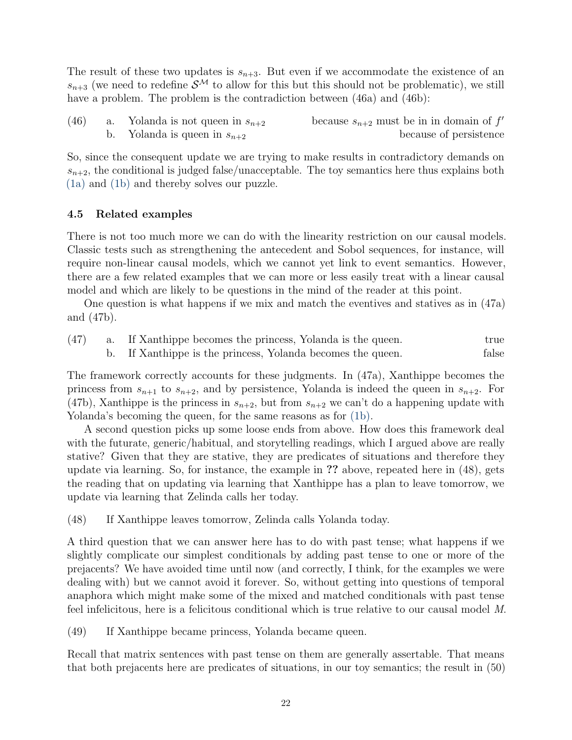The result of these two updates is  $s_{n+3}$ . But even if we accommodate the existence of an  $s_{n+3}$  (we need to redefine  $\mathcal{S}^{\mathcal{M}}$  to allow for this but this should not be problematic), we still have a problem. The problem is the contradiction between  $(46a)$  and  $(46b)$ :

| (46) | a. Yolanda is not queen in $s_{n+2}$ | because $s_{n+2}$ must be in in domain of $f'$ |
|------|--------------------------------------|------------------------------------------------|
|      | b. Yolanda is queen in $s_{n+2}$     | because of persistence                         |

So, since the consequent update we are trying to make results in contradictory demands on  $s_{n+2}$ , the conditional is judged false/unacceptable. The toy semantics here thus explains both [\(1a\)](#page-0-2) and [\(1b\)](#page-0-3) and thereby solves our puzzle.

# 4.5 Related examples

There is not too much more we can do with the linearity restriction on our causal models. Classic tests such as strengthening the antecedent and Sobol sequences, for instance, will require non-linear causal models, which we cannot yet link to event semantics. However, there are a few related examples that we can more or less easily treat with a linear causal model and which are likely to be questions in the mind of the reader at this point.

One question is what happens if we mix and match the eventives and statives as in (47a) and (47b).

|  | $(47)$ a. If Xanthippe becomes the princess, Yolanda is the queen. | true  |
|--|--------------------------------------------------------------------|-------|
|  | b. If Xanthippe is the princess, Yolanda becomes the queen.        | false |

The framework correctly accounts for these judgments. In (47a), Xanthippe becomes the princess from  $s_{n+1}$  to  $s_{n+2}$ , and by persistence, Yolanda is indeed the queen in  $s_{n+2}$ . For (47b), Xanthippe is the princess in  $s_{n+2}$ , but from  $s_{n+2}$  we can't do a happening update with Yolanda's becoming the queen, for the same reasons as for  $(1b)$ .

A second question picks up some loose ends from above. How does this framework deal with the futurate, generic/habitual, and storytelling readings, which I argued above are really stative? Given that they are stative, they are predicates of situations and therefore they update via learning. So, for instance, the example in ?? above, repeated here in (48), gets the reading that on updating via learning that Xanthippe has a plan to leave tomorrow, we update via learning that Zelinda calls her today.

(48) If Xanthippe leaves tomorrow, Zelinda calls Yolanda today.

A third question that we can answer here has to do with past tense; what happens if we slightly complicate our simplest conditionals by adding past tense to one or more of the prejacents? We have avoided time until now (and correctly, I think, for the examples we were dealing with) but we cannot avoid it forever. So, without getting into questions of temporal anaphora which might make some of the mixed and matched conditionals with past tense feel infelicitous, here is a felicitous conditional which is true relative to our causal model M.

(49) If Xanthippe became princess, Yolanda became queen.

Recall that matrix sentences with past tense on them are generally assertable. That means that both prejacents here are predicates of situations, in our toy semantics; the result in (50)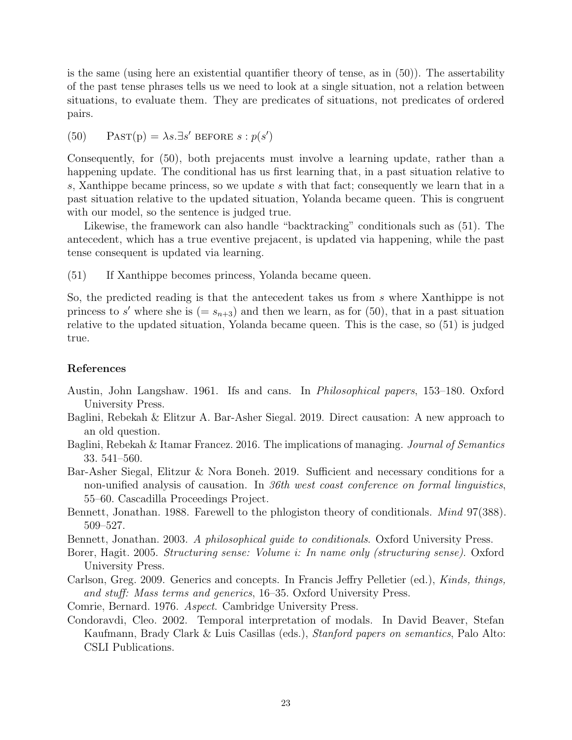is the same (using here an existential quantifier theory of tense, as in (50)). The assertability of the past tense phrases tells us we need to look at a single situation, not a relation between situations, to evaluate them. They are predicates of situations, not predicates of ordered pairs.

(50) PAST(p) =  $\lambda s.\exists s'$  BEFORE  $s: p(s')$ 

Consequently, for (50), both prejacents must involve a learning update, rather than a happening update. The conditional has us first learning that, in a past situation relative to s, Xanthippe became princess, so we update s with that fact; consequently we learn that in a past situation relative to the updated situation, Yolanda became queen. This is congruent with our model, so the sentence is judged true.

Likewise, the framework can also handle "backtracking" conditionals such as (51). The antecedent, which has a true eventive prejacent, is updated via happening, while the past tense consequent is updated via learning.

(51) If Xanthippe becomes princess, Yolanda became queen.

So, the predicted reading is that the antecedent takes us from s where Xanthippe is not princess to s' where she is  $(= s_{n+3})$  and then we learn, as for (50), that in a past situation relative to the updated situation, Yolanda became queen. This is the case, so (51) is judged true.

### References

- <span id="page-22-5"></span>Austin, John Langshaw. 1961. Ifs and cans. In Philosophical papers, 153–180. Oxford University Press.
- <span id="page-22-3"></span>Baglini, Rebekah & Elitzur A. Bar-Asher Siegal. 2019. Direct causation: A new approach to an old question.
- <span id="page-22-2"></span>Baglini, Rebekah & Itamar Francez. 2016. The implications of managing. Journal of Semantics 33. 541–560.
- <span id="page-22-4"></span>Bar-Asher Siegal, Elitzur & Nora Boneh. 2019. Sufficient and necessary conditions for a non-unified analysis of causation. In 36th west coast conference on formal linguistics, 55–60. Cascadilla Proceedings Project.
- <span id="page-22-0"></span>Bennett, Jonathan. 1988. Farewell to the phlogiston theory of conditionals. *Mind* 97(388). 509–527.
- <span id="page-22-1"></span>Bennett, Jonathan. 2003. A philosophical guide to conditionals. Oxford University Press.
- <span id="page-22-8"></span>Borer, Hagit. 2005. Structuring sense: Volume i: In name only (structuring sense). Oxford University Press.
- <span id="page-22-6"></span>Carlson, Greg. 2009. Generics and concepts. In Francis Jeffry Pelletier (ed.), Kinds, things, and stuff: Mass terms and generics, 16–35. Oxford University Press.
- <span id="page-22-9"></span>Comrie, Bernard. 1976. Aspect. Cambridge University Press.
- <span id="page-22-7"></span>Condoravdi, Cleo. 2002. Temporal interpretation of modals. In David Beaver, Stefan Kaufmann, Brady Clark & Luis Casillas (eds.), Stanford papers on semantics, Palo Alto: CSLI Publications.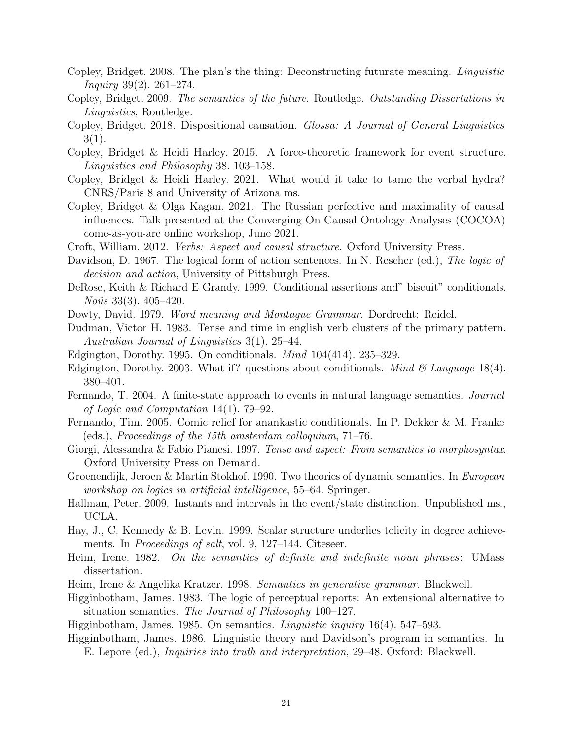- <span id="page-23-16"></span>Copley, Bridget. 2008. The plan's the thing: Deconstructing futurate meaning. Linguistic *Inquiry* 39(2). 261–274.
- <span id="page-23-18"></span>Copley, Bridget. 2009. The semantics of the future. Routledge. Outstanding Dissertations in Linguistics, Routledge.
- <span id="page-23-17"></span>Copley, Bridget. 2018. Dispositional causation. Glossa: A Journal of General Linguistics  $3(1).$
- <span id="page-23-3"></span>Copley, Bridget & Heidi Harley. 2015. A force-theoretic framework for event structure. Linguistics and Philosophy 38. 103–158.
- <span id="page-23-10"></span>Copley, Bridget & Heidi Harley. 2021. What would it take to tame the verbal hydra? CNRS/Paris 8 and University of Arizona ms.
- <span id="page-23-23"></span>Copley, Bridget & Olga Kagan. 2021. The Russian perfective and maximality of causal influences. Talk presented at the Converging On Causal Ontology Analyses (COCOA) come-as-you-are online workshop, June 2021.
- <span id="page-23-2"></span>Croft, William. 2012. Verbs: Aspect and causal structure. Oxford University Press.
- <span id="page-23-12"></span>Davidson, D. 1967. The logical form of action sentences. In N. Rescher (ed.), The logic of decision and action, University of Pittsburgh Press.
- <span id="page-23-11"></span>DeRose, Keith & Richard E Grandy. 1999. Conditional assertions and" biscuit" conditionals.  $No\hat{u}s\;33(3).$  405–420.
- <span id="page-23-1"></span>Dowty, David. 1979. Word meaning and Montague Grammar. Dordrecht: Reidel.
- <span id="page-23-4"></span>Dudman, Victor H. 1983. Tense and time in english verb clusters of the primary pattern. Australian Journal of Linguistics 3(1). 25–44.
- <span id="page-23-5"></span>Edgington, Dorothy. 1995. On conditionals. Mind 104(414). 235–329.
- <span id="page-23-6"></span>Edgington, Dorothy. 2003. What if? questions about conditionals. *Mind & Language* 18(4). 380–401.
- <span id="page-23-20"></span>Fernando, T. 2004. A finite-state approach to events in natural language semantics. Journal of Logic and Computation 14(1). 79–92.
- <span id="page-23-21"></span>Fernando, Tim. 2005. Comic relief for anankastic conditionals. In P. Dekker & M. Franke (eds.), Proceedings of the 15th amsterdam colloquium, 71–76.
- <span id="page-23-19"></span>Giorgi, Alessandra & Fabio Pianesi. 1997. Tense and aspect: From semantics to morphosyntax. Oxford University Press on Demand.
- <span id="page-23-8"></span>Groenendijk, Jeroen & Martin Stokhof. 1990. Two theories of dynamic semantics. In European workshop on logics in artificial intelligence, 55–64. Springer.
- <span id="page-23-0"></span>Hallman, Peter. 2009. Instants and intervals in the event/state distinction. Unpublished ms., UCLA.
- <span id="page-23-22"></span>Hay, J., C. Kennedy & B. Levin. 1999. Scalar structure underlies telicity in degree achievements. In *Proceedings of salt*, vol. 9, 127–144. Citeseer.
- <span id="page-23-7"></span>Heim, Irene. 1982. On the semantics of definite and indefinite noun phrases: UMass dissertation.
- <span id="page-23-9"></span>Heim, Irene & Angelika Kratzer. 1998. Semantics in generative grammar. Blackwell.
- <span id="page-23-13"></span>Higginbotham, James. 1983. The logic of perceptual reports: An extensional alternative to situation semantics. The Journal of Philosophy 100–127.
- <span id="page-23-14"></span>Higginbotham, James. 1985. On semantics. Linguistic inquiry 16(4). 547–593.
- <span id="page-23-15"></span>Higginbotham, James. 1986. Linguistic theory and Davidson's program in semantics. In E. Lepore (ed.), Inquiries into truth and interpretation, 29–48. Oxford: Blackwell.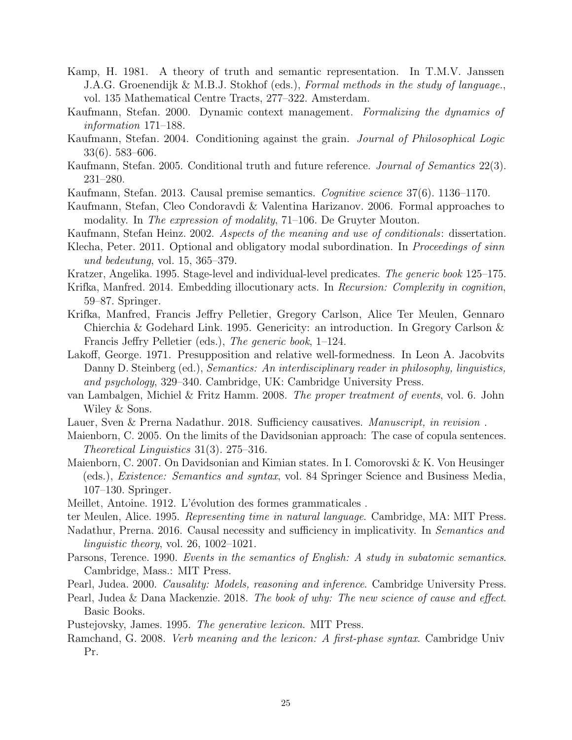- <span id="page-24-11"></span>Kamp, H. 1981. A theory of truth and semantic representation. In T.M.V. Janssen J.A.G. Groenendijk & M.B.J. Stokhof (eds.), Formal methods in the study of language., vol. 135 Mathematical Centre Tracts, 277–322. Amsterdam.
- <span id="page-24-23"></span>Kaufmann, Stefan. 2000. Dynamic context management. Formalizing the dynamics of information 171–188.
- <span id="page-24-4"></span>Kaufmann, Stefan. 2004. Conditioning against the grain. Journal of Philosophical Logic 33(6). 583–606.
- <span id="page-24-7"></span>Kaufmann, Stefan. 2005. Conditional truth and future reference. Journal of Semantics 22(3). 231–280.
- <span id="page-24-8"></span><span id="page-24-5"></span>Kaufmann, Stefan. 2013. Causal premise semantics. Cognitive science 37(6). 1136–1170.
- Kaufmann, Stefan, Cleo Condoravdi & Valentina Harizanov. 2006. Formal approaches to modality. In The expression of modality, 71–106. De Gruyter Mouton.
- <span id="page-24-6"></span>Kaufmann, Stefan Heinz. 2002. Aspects of the meaning and use of conditionals: dissertation.
- <span id="page-24-19"></span>Klecha, Peter. 2011. Optional and obligatory modal subordination. In Proceedings of sinn und bedeutung, vol. 15, 365–379.
- <span id="page-24-14"></span>Kratzer, Angelika. 1995. Stage-level and individual-level predicates. The generic book 125–175.
- <span id="page-24-12"></span>Krifka, Manfred. 2014. Embedding illocutionary acts. In Recursion: Complexity in cognition, 59–87. Springer.
- <span id="page-24-18"></span>Krifka, Manfred, Francis Jeffry Pelletier, Gregory Carlson, Alice Ter Meulen, Gennaro Chierchia & Godehard Link. 1995. Genericity: an introduction. In Gregory Carlson & Francis Jeffry Pelletier (eds.), The generic book, 1–124.
- <span id="page-24-17"></span>Lakoff, George. 1971. Presupposition and relative well-formedness. In Leon A. Jacobvits Danny D. Steinberg (ed.), Semantics: An interdisciplinary reader in philosophy, linguistics, and psychology, 329–340. Cambridge, UK: Cambridge University Press.
- <span id="page-24-22"></span>van Lambalgen, Michiel & Fritz Hamm. 2008. The proper treatment of events, vol. 6. John Wiley & Sons.
- <span id="page-24-10"></span>Lauer, Sven & Prerna Nadathur. 2018. Sufficiency causatives. *Manuscript, in revision*.
- <span id="page-24-15"></span>Maienborn, C. 2005. On the limits of the Davidsonian approach: The case of copula sentences. Theoretical Linguistics 31(3). 275–316.
- <span id="page-24-16"></span>Maienborn, C. 2007. On Davidsonian and Kimian states. In I. Comorovski & K. Von Heusinger (eds.), Existence: Semantics and syntax, vol. 84 Springer Science and Business Media, 107–130. Springer.
- <span id="page-24-21"></span>Meillet, Antoine. 1912. L'évolution des formes grammaticales.
- <span id="page-24-20"></span>ter Meulen, Alice. 1995. Representing time in natural language. Cambridge, MA: MIT Press.
- <span id="page-24-9"></span>Nadathur, Prerna. 2016. Causal necessity and sufficiency in implicativity. In Semantics and linguistic theory, vol. 26, 1002–1021.
- <span id="page-24-13"></span>Parsons, Terence. 1990. Events in the semantics of English: A study in subatomic semantics. Cambridge, Mass.: MIT Press.
- <span id="page-24-0"></span>Pearl, Judea. 2000. Causality: Models, reasoning and inference. Cambridge University Press.
- <span id="page-24-3"></span>Pearl, Judea & Dana Mackenzie. 2018. The book of why: The new science of cause and effect. Basic Books.
- <span id="page-24-1"></span>Pustejovsky, James. 1995. The generative lexicon. MIT Press.
- <span id="page-24-2"></span>Ramchand, G. 2008. Verb meaning and the lexicon: A first-phase syntax. Cambridge Univ Pr.